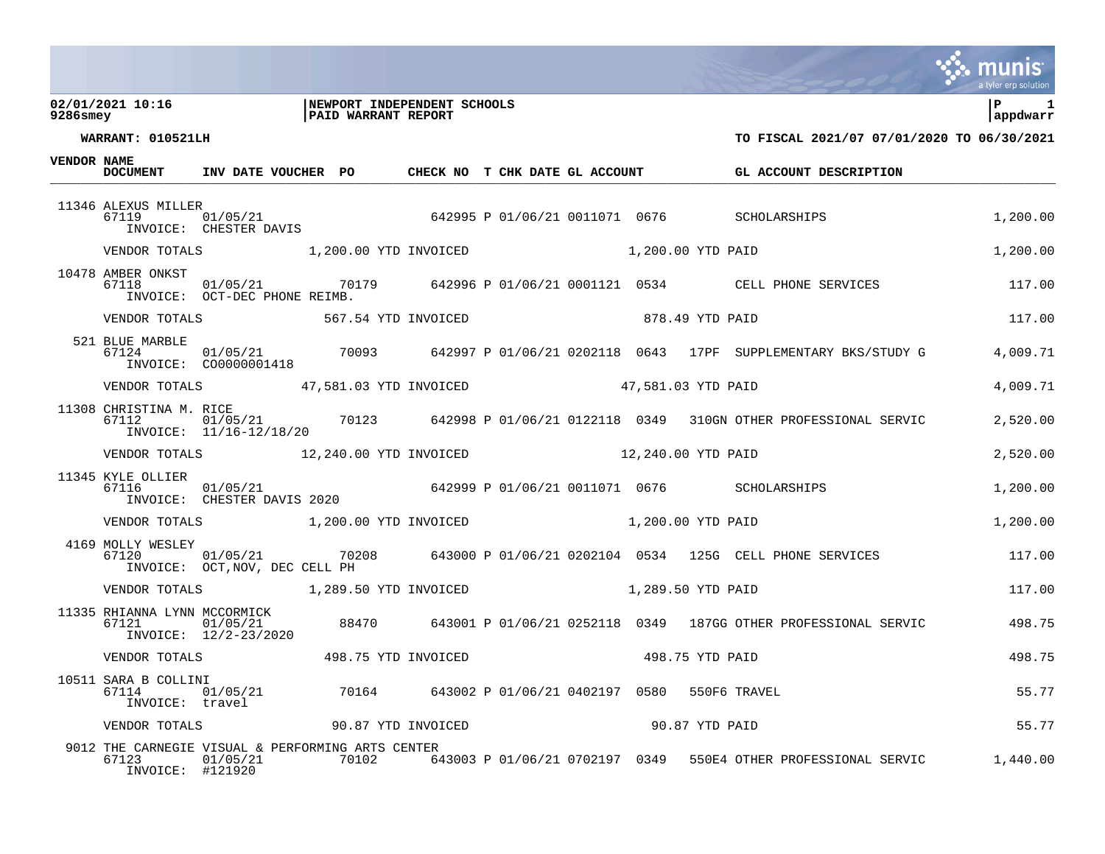### **02/01/2021 10:16 |NEWPORT INDEPENDENT SCHOOLS |P 1 9286smey |PAID WARRANT REPORT |appdwarr**



**WARRANT: 010521LH TO FISCAL 2021/07 07/01/2020 TO 06/30/2021**

**VENDOR NAME**

| DOCUMENT                                         | INV DATE VOUCHER PO  CHECK NO T CHK DATE GL ACCOUNT                                              |  |  |  | GL ACCOUNT DESCRIPTION                                                                                                                          |          |
|--------------------------------------------------|--------------------------------------------------------------------------------------------------|--|--|--|-------------------------------------------------------------------------------------------------------------------------------------------------|----------|
| 11346 ALEXUS MILLER<br>67119                     |                                                                                                  |  |  |  | 7119<br>TI19 1/05/21 0011071 0676 SCHOLARSHIPS<br>INVOICE: CHESTER DAVIS                                                                        | 1,200.00 |
|                                                  | VENDOR TOTALS 1,200.00 YTD INVOICED 1,200.00 YTD PAID                                            |  |  |  |                                                                                                                                                 | 1,200.00 |
| 10478 AMBER ONKST<br>67118                       | INVOICE: OCT-DEC PHONE REIMB.                                                                    |  |  |  | 01/05/21 70179 642996 P 01/06/21 0001121 0534 CELL PHONE SERVICES 117.00                                                                        |          |
|                                                  |                                                                                                  |  |  |  |                                                                                                                                                 | 117.00   |
| 521 BLUE MARBLE<br>67124                         |                                                                                                  |  |  |  |                                                                                                                                                 | 4,009.71 |
|                                                  | VENDOR TOTALS 47,581.03 YTD INVOICED 47,581.03 YTD PAID                                          |  |  |  |                                                                                                                                                 | 4,009.71 |
| 11308 CHRISTINA M. RICE<br>67112                 | INVOICE: 11/16-12/18/20                                                                          |  |  |  |                                                                                                                                                 | 2,520.00 |
|                                                  | VENDOR TOTALS 12,240.00 YTD INVOICED 12,240.00 YTD PAID                                          |  |  |  |                                                                                                                                                 | 2,520.00 |
| 11345 KYLE OLLIER<br>67116                       |                                                                                                  |  |  |  | 1116 - 01/05/21<br>7116 - 01/05/21 01/05/21 001/06/21 0011071 0676 SCHOLARSHIPS<br>INVOICE: CHESTER DAVIS 2020 - 642999 P 01/06/21 0011071 0676 | 1,200.00 |
|                                                  | VENDOR TOTALS 1,200.00 YTD INVOICED 1,200.00 YTD PAID                                            |  |  |  |                                                                                                                                                 | 1,200.00 |
| 4169 MOLLY WESLEY<br>67120                       | INVOICE: OCT, NOV, DEC CELL PH                                                                   |  |  |  | $01/05/21$ $70208$ $643000$ P $01/06/21$ $0202104$ $0534$ $125$ G CELL PHONE SERVICES $117.00$                                                  |          |
|                                                  | VENDOR TOTALS 1,289.50 YTD INVOICED 1,289.50 YTD PAID                                            |  |  |  |                                                                                                                                                 | 117.00   |
| 11335 RHIANNA LYNN MCCORMICK<br>67121            | 01/05/21<br>INVOICE: 12/2-23/2020                                                                |  |  |  | 88470 643001 P 01/06/21 0252118 0349 187GG OTHER PROFESSIONAL SERVIC                                                                            | 498.75   |
|                                                  | VENDOR TOTALS                         498.75 YTD INVOICED                        498.75 YTD PAID |  |  |  |                                                                                                                                                 | 498.75   |
| 10511 SARA B COLLINI<br>67114<br>INVOICE: travel | $01/05/21$ 70164 643002 P 01/06/21 0402197 0580 550F6 TRAVEL                                     |  |  |  |                                                                                                                                                 | 55.77    |
|                                                  |                                                                                                  |  |  |  |                                                                                                                                                 | 55.77    |
| 67123<br>INVOICE: #121920                        | 9012 THE CARNEGIE VISUAL & PERFORMING ARTS CENTER<br>01/05/21                                    |  |  |  | 70102 643003 P 01/06/21 0702197 0349 550E4 OTHER PROFESSIONAL SERVIC 1,440.00                                                                   |          |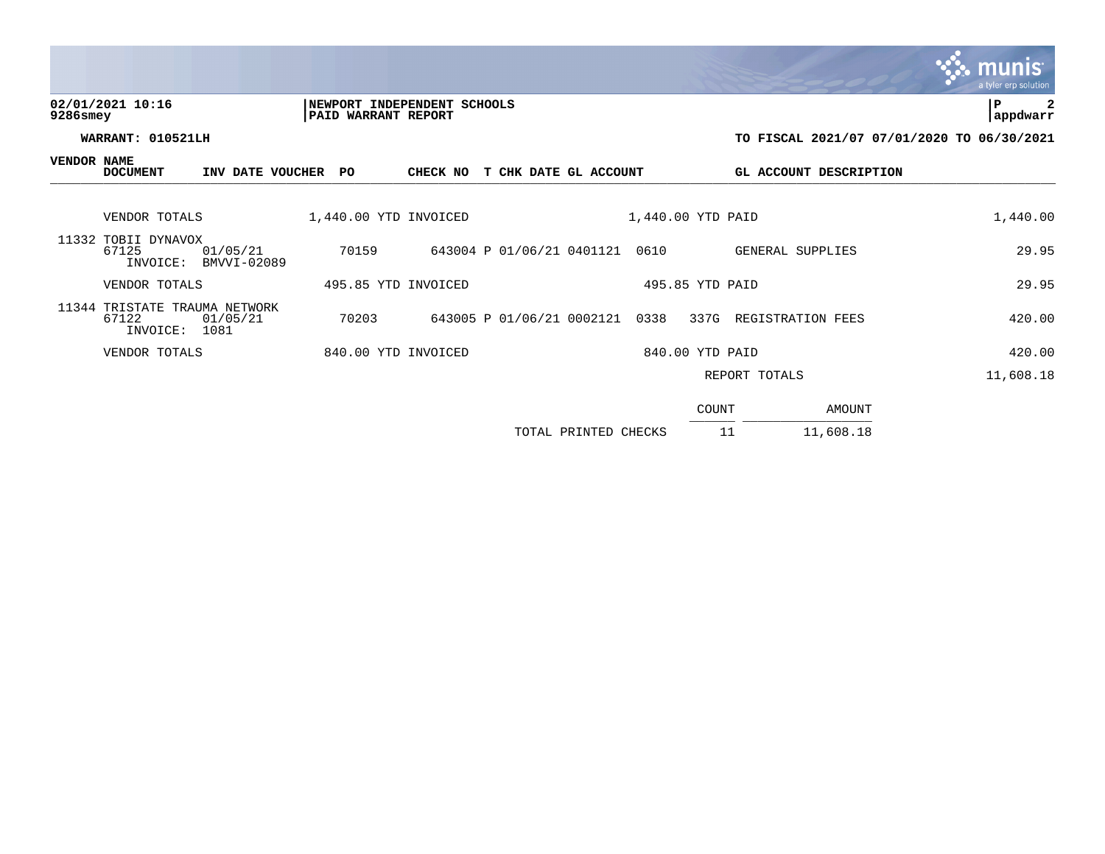## tyler erp solutior 02/01/2021 10:16 **| NEWPORT INDEPENDENT SCHOOLS** | P 2<br>9286smey | PAID WARRANT REPORT **9286smey |PAID WARRANT REPORT |appdwarr WARRANT: 010521LH TO FISCAL 2021/07 07/01/2020 TO 06/30/2021 VENDOR NAME DOCUMENT INV DATE VOUCHER PO CHECK NO T CHK DATE GL ACCOUNT GL ACCOUNT DESCRIPTION** DOCOMENT INV DATE VOOCHER FOR CHECK NOT CHRISTING BELIEVONT BELIEVONT DESCRIPTION VENDOR TOTALS 1,440.00 YTD INVOICED 1,440.00 YTD PAID 1,400.00 1,440.00 11332 TOBII DYNAVOX<br>67125 01/05/21 67125 01/05/21 70159 643004 P 01/06/21 0401121 0610 GENERAL SUPPLIES 29.95 INVOICE: BMVVI-02089 VENDOR TOTALS 495.85 YTD INVOICED 495.85 YTD PAID 29.95 11344 TRISTATE TRAUMA NETWORK 67122 01/05/21 70203 643005 P 01/06/21 0002121 0338 337G REGISTRATION FEES 420.00 INVOICE: 1081 VENDOR TOTALS 840.00 YTD INVOICED 840.00 YTD PAID 420.00 REPORT TOTALS 11,608.18 COUNT AMOUNT  $\frac{1000N1}{1000N1}$

| TOTAL PRINTED CHECKS |  | 11,608.18 |
|----------------------|--|-----------|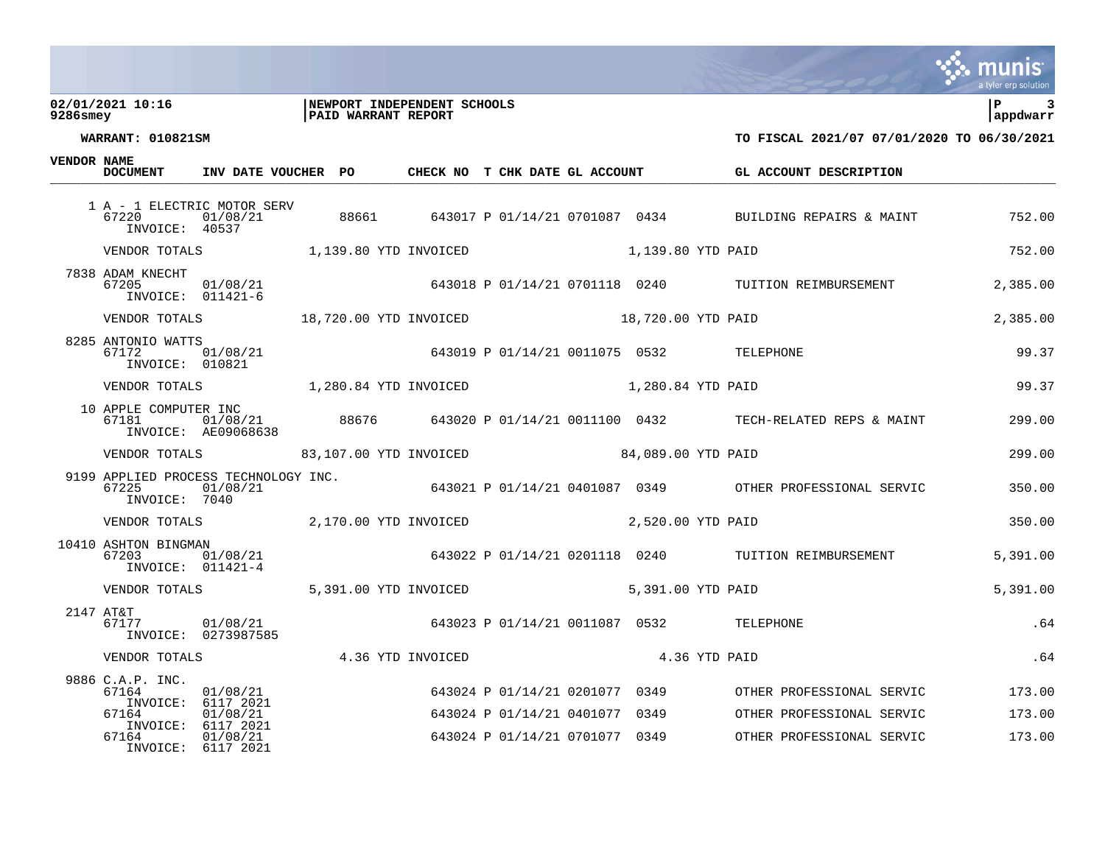### **02/01/2021 10:16 |NEWPORT INDEPENDENT SCHOOLS |P 3 9286smey |PAID WARRANT REPORT |appdwarr**



**WARRANT: 010821SM TO FISCAL 2021/07 07/01/2020 TO 06/30/2021**

**VENDOR NAME**

| בייעמיו חטשויים | <b>DOCUMENT</b>                                          | INV DATE VOUCHER PO                              |                   | CHECK NO T CHK DATE GL ACCOUNT |                                                                  |                                          | GL ACCOUNT DESCRIPTION                                                  |                  |
|-----------------|----------------------------------------------------------|--------------------------------------------------|-------------------|--------------------------------|------------------------------------------------------------------|------------------------------------------|-------------------------------------------------------------------------|------------------|
|                 | 67220<br>INVOICE: 40537                                  | 1 A - 1 ELECTRIC MOTOR SERV<br>01/08/21          |                   |                                |                                                                  |                                          | 88661 643017 P 01/14/21 0701087 0434 BUILDING REPAIRS & MAINT           | 752.00           |
|                 | VENDOR TOTALS                                            | 1,139.80 YTD INVOICED                            |                   |                                |                                                                  | 1,139.80 YTD PAID                        |                                                                         | 752.00           |
|                 | 7838 ADAM KNECHT<br>67205<br>INVOICE: 011421-6           | 01/08/21                                         |                   |                                |                                                                  |                                          | 643018 P 01/14/21 0701118 0240 TUITION REIMBURSEMENT                    | 2,385.00         |
|                 | VENDOR TOTALS                                            | 18,720.00 YTD INVOICED                           |                   |                                |                                                                  | 18,720.00 YTD PAID                       |                                                                         | 2,385.00         |
|                 | 8285 ANTONIO WATTS<br>67172<br>INVOICE: 010821           | 01/08/21                                         |                   |                                |                                                                  | 643019 P 01/14/21 0011075 0532 TELEPHONE |                                                                         | 99.37            |
|                 | VENDOR TOTALS                                            | 1,280.84 YTD INVOICED 1,280.84 YTD PAID          |                   |                                |                                                                  |                                          |                                                                         | 99.37            |
|                 | 10 APPLE COMPUTER INC<br>67181                           | INVOICE: AE09068638                              |                   |                                |                                                                  |                                          | 01/08/21 88676 643020 P 01/14/21 0011100 0432 TECH-RELATED REPS & MAINT | 299.00           |
|                 | VENDOR TOTALS                                            | 83,107.00 YTD INVOICED 64,089.00 YTD PAID        |                   |                                |                                                                  |                                          |                                                                         | 299.00           |
|                 | 67225<br>INVOICE: 7040                                   | 9199 APPLIED PROCESS TECHNOLOGY INC.<br>01/08/21 |                   |                                |                                                                  |                                          | 643021 P 01/14/21 0401087 0349 OTHER PROFESSIONAL SERVIC                | 350.00           |
|                 |                                                          | VENDOR TOTALS 2,170.00 YTD INVOICED              |                   |                                |                                                                  | 2,520.00 YTD PAID                        |                                                                         | 350.00           |
|                 | 10410 ASHTON BINGMAN<br>67203<br>INVOICE: 011421-4       | 01/08/21                                         |                   |                                |                                                                  |                                          | 643022 P 01/14/21 0201118 0240 TUITION REIMBURSEMENT                    | 5,391.00         |
|                 | VENDOR TOTALS                                            | 5,391.00 YTD INVOICED                            |                   |                                |                                                                  | 5,391.00 YTD PAID                        |                                                                         | 5,391.00         |
|                 | 2147 AT&T<br>67177                                       | 01/08/21<br>INVOICE: 0273987585                  |                   |                                |                                                                  | 643023 P 01/14/21 0011087 0532 TELEPHONE |                                                                         | .64              |
|                 | VENDOR TOTALS                                            |                                                  | 4.36 YTD INVOICED |                                |                                                                  | 4.36 YTD PAID                            |                                                                         | .64              |
|                 | 9886 C.A.P. INC.<br>67164<br>INVOICE: 6117 2021<br>67164 | 01/08/21<br>01/08/21                             |                   |                                | 643024 P 01/14/21 0201077 0349<br>643024 P 01/14/21 0401077 0349 |                                          | OTHER PROFESSIONAL SERVIC<br>OTHER PROFESSIONAL SERVIC                  | 173.00<br>173.00 |
|                 | INVOICE: 6117 2021<br>67164<br>INVOICE: 6117 2021        | 01/08/21                                         |                   |                                | 643024 P 01/14/21 0701077 0349                                   |                                          | OTHER PROFESSIONAL SERVIC                                               | 173.00           |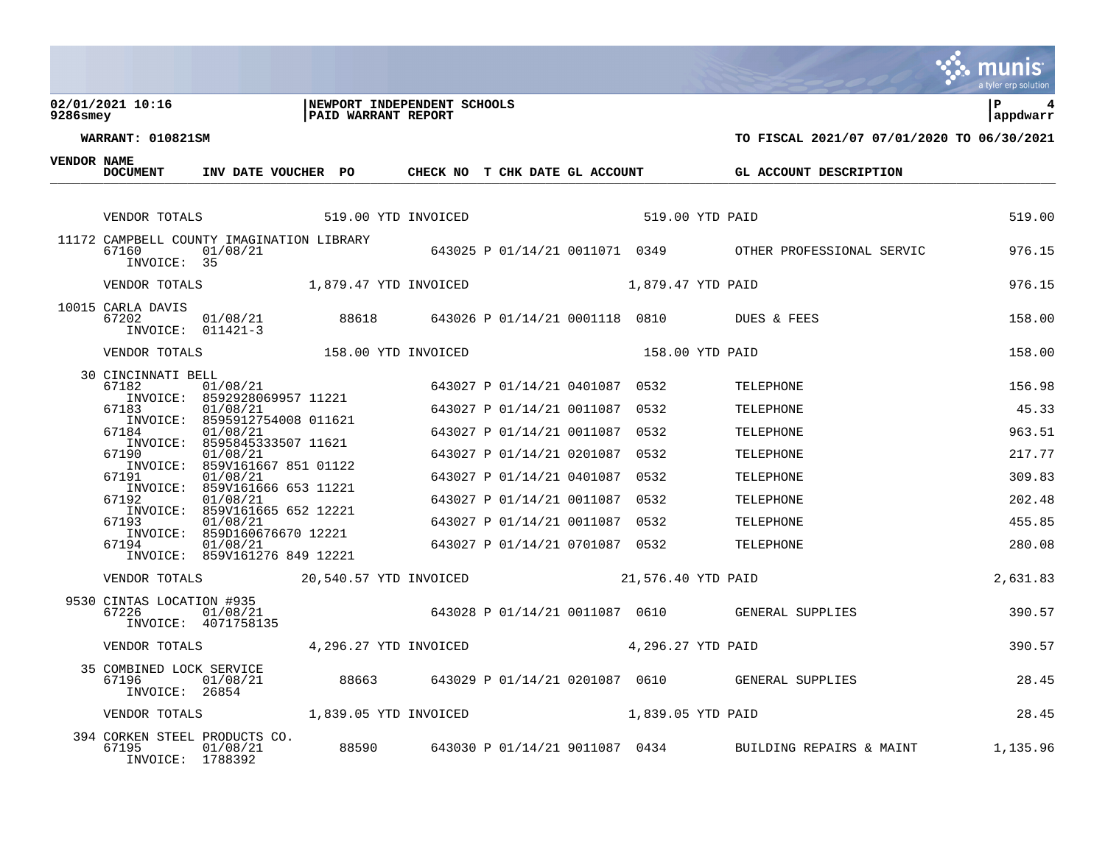### **02/01/2021 10:16 |NEWPORT INDEPENDENT SCHOOLS |P 4 9286smey |PAID WARRANT REPORT |appdwarr**



**WARRANT: 010821SM TO FISCAL 2021/07 07/01/2020 TO 06/30/2021**

**VENDOR NAME**

| VENDOR NAME | <b>DOCUMENT</b>                                            | INV DATE VOUCHER PO                                                       |  | CHECK NO T CHK DATE GL ACCOUNT |                                |                    | GL ACCOUNT DESCRIPTION                                        |          |
|-------------|------------------------------------------------------------|---------------------------------------------------------------------------|--|--------------------------------|--------------------------------|--------------------|---------------------------------------------------------------|----------|
|             |                                                            |                                                                           |  |                                |                                |                    |                                                               |          |
|             | VENDOR TOTALS                                              | 519.00 YTD INVOICED                                                       |  |                                |                                |                    | 519.00 YTD PAID                                               | 519.00   |
|             | 67160<br>INVOICE: 35                                       | 11172 CAMPBELL COUNTY IMAGINATION LIBRARY<br>01/08/21                     |  |                                |                                |                    | 643025 P 01/14/21 0011071 0349 OTHER PROFESSIONAL SERVIC      | 976.15   |
|             | VENDOR TOTALS                                              | 1,879.47 YTD INVOICED                                                     |  |                                |                                | 1,879.47 YTD PAID  |                                                               | 976.15   |
|             | 10015 CARLA DAVIS<br>67202<br>INVOICE: 011421-3            | 01/08/21                                                                  |  |                                |                                |                    | 88618 643026 P 01/14/21 0001118 0810 DUES & FEES              | 158.00   |
|             | VENDOR TOTALS                                              | 158.00 YTD INVOICED                                                       |  |                                |                                |                    | 158.00 YTD PAID                                               | 158.00   |
|             | 30 CINCINNATI BELL<br>67182<br>INVOICE:                    | 01/08/21<br>8592928069957 11221                                           |  |                                | 643027 P 01/14/21 0401087 0532 |                    | TELEPHONE                                                     | 156.98   |
|             | 67183<br>INVOICE:                                          | 01/08/21<br>8595912754008 011621                                          |  |                                | 643027 P 01/14/21 0011087 0532 |                    | TELEPHONE                                                     | 45.33    |
|             | 67184<br>INVOICE:                                          | 01/08/21<br>8595845333507 11621                                           |  |                                | 643027 P 01/14/21 0011087      | 0532               | TELEPHONE                                                     | 963.51   |
|             | 67190                                                      | 01/08/21                                                                  |  |                                | 643027 P 01/14/21 0201087      | 0532               | TELEPHONE                                                     | 217.77   |
|             | 67191                                                      | INVOICE: 859V161667 851 01122<br>01/08/21                                 |  |                                | 643027 P 01/14/21 0401087 0532 |                    | TELEPHONE                                                     | 309.83   |
|             | 67192                                                      | INVOICE: 859V161666 653 11221<br>01/08/21                                 |  |                                | 643027 P 01/14/21 0011087 0532 |                    | TELEPHONE                                                     | 202.48   |
|             | INVOICE:<br>67193                                          | 859V161665 652 12221<br>01/08/21                                          |  |                                | 643027 P 01/14/21 0011087 0532 |                    | TELEPHONE                                                     | 455.85   |
|             | 67194                                                      | INVOICE: 859D160676670 12221<br>01/08/21<br>INVOICE: 859V161276 849 12221 |  |                                | 643027 P 01/14/21 0701087 0532 |                    | TELEPHONE                                                     | 280.08   |
|             | VENDOR TOTALS                                              | 20,540.57 YTD INVOICED                                                    |  |                                |                                | 21,576.40 YTD PAID |                                                               | 2,631.83 |
|             | 9530 CINTAS LOCATION #935<br>67226                         | 01/08/21<br>INVOICE: 4071758135                                           |  |                                |                                |                    | 643028 P 01/14/21 0011087 0610 GENERAL SUPPLIES               | 390.57   |
|             | VENDOR TOTALS                                              | 4,296.27 YTD INVOICED                                                     |  |                                |                                | 4,296.27 YTD PAID  |                                                               | 390.57   |
|             | 35 COMBINED LOCK SERVICE<br>67196<br>INVOICE: 26854        | 01/08/21                                                                  |  |                                |                                |                    | 88663 643029 P 01/14/21 0201087 0610 GENERAL SUPPLIES         | 28.45    |
|             | VENDOR TOTALS                                              |                                                                           |  | 1,839.05 YTD INVOICED          |                                | 1,839.05 YTD PAID  |                                                               | 28.45    |
|             | 394 CORKEN STEEL PRODUCTS CO.<br>67195<br>INVOICE: 1788392 | 01/08/21                                                                  |  |                                |                                |                    | 88590 643030 P 01/14/21 9011087 0434 BUILDING REPAIRS & MAINT | 1,135.96 |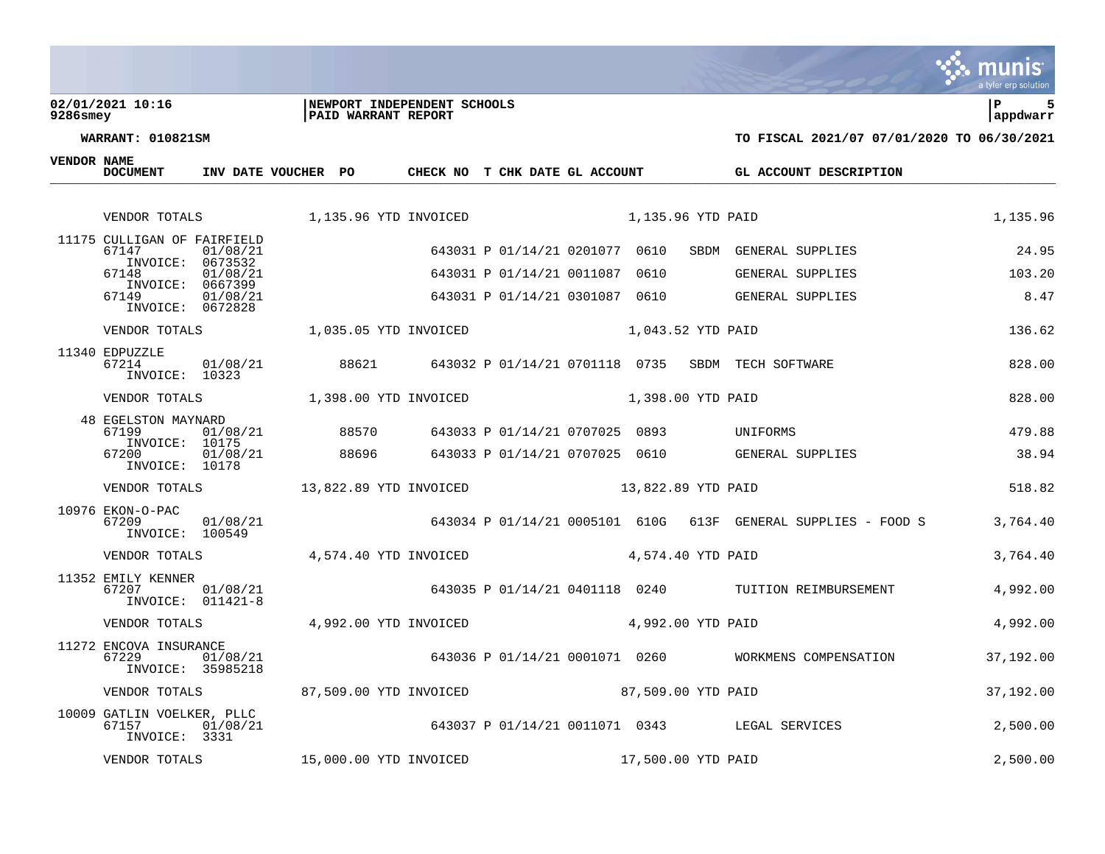### **02/01/2021 10:16 |NEWPORT INDEPENDENT SCHOOLS |P 5 9286smey |PAID WARRANT REPORT |appdwarr**

**VENDOR NAME**

| <b>DOCUMENT</b>                                       | INV DATE VOUCHER PO |       | CHECK NO T CHK DATE GL ACCOUNT              |                                |                    | GL ACCOUNT DESCRIPTION                                        |           |
|-------------------------------------------------------|---------------------|-------|---------------------------------------------|--------------------------------|--------------------|---------------------------------------------------------------|-----------|
| VENDOR TOTALS                                         |                     |       | 1,135.96 YTD INVOICED                       | 1,135.96 YTD PAID              |                    |                                                               | 1,135.96  |
| 11175 CULLIGAN OF FAIRFIELD<br>67147                  | 01/08/21            |       |                                             | 643031 P 01/14/21 0201077 0610 | SBDM               | GENERAL SUPPLIES                                              | 24.95     |
| INVOICE:<br>67148                                     | 0673532<br>01/08/21 |       |                                             | 643031 P 01/14/21 0011087 0610 |                    | GENERAL SUPPLIES                                              | 103.20    |
| INVOICE:<br>67149<br>INVOICE: 0672828                 | 0667399<br>01/08/21 |       |                                             | 643031 P 01/14/21 0301087 0610 |                    | GENERAL SUPPLIES                                              | 8.47      |
| VENDOR TOTALS                                         |                     |       | $1,035.05$ YTD INVOICED $1,043.52$ YTD PAID |                                |                    |                                                               | 136.62    |
| 11340 EDPUZZLE<br>67214<br>INVOICE: 10323             | 01/08/21            |       |                                             |                                |                    | 88621 643032 P 01/14/21 0701118 0735 SBDM TECH SOFTWARE       | 828.00    |
| VENDOR TOTALS                                         |                     |       | 1,398.00 YTD INVOICED                       | 1,398.00 YTD PAID              |                    |                                                               | 828.00    |
| <b>48 EGELSTON MAYNARD</b><br>67199<br>INVOICE: 10175 | 01/08/21            | 88570 |                                             | 643033 P 01/14/21 0707025 0893 |                    | UNIFORMS                                                      | 479.88    |
| 67200<br>INVOICE: 10178                               | 01/08/21            | 88696 |                                             | 643033 P 01/14/21 0707025 0610 |                    | GENERAL SUPPLIES                                              | 38.94     |
| VENDOR TOTALS                                         |                     |       | 13,822.89 YTD INVOICED                      |                                | 13,822.89 YTD PAID |                                                               | 518.82    |
| 10976 EKON-O-PAC<br>67209<br>INVOICE: 100549          | 01/08/21            |       |                                             |                                |                    | 643034 P 01/14/21 0005101 610G 613F GENERAL SUPPLIES - FOOD S | 3,764.40  |
| VENDOR TOTALS                                         |                     |       | 4,574.40 YTD INVOICED                       | 4,574.40 YTD PAID              |                    |                                                               | 3,764.40  |
| 11352 EMILY KENNER<br>67207<br>INVOICE: 011421-8      | 01/08/21            |       |                                             |                                |                    | 643035 P 01/14/21 0401118 0240 TUITION REIMBURSEMENT          | 4,992.00  |
| VENDOR TOTALS                                         |                     |       | 4,992.00 YTD INVOICED                       |                                | 4,992.00 YTD PAID  |                                                               | 4,992.00  |
| 11272 ENCOVA INSURANCE<br>67229<br>INVOICE: 35985218  | 01/08/21            |       |                                             |                                |                    | 643036 P 01/14/21 0001071 0260 WORKMENS COMPENSATION          | 37,192.00 |
| VENDOR TOTALS                                         |                     |       | 87,509.00 YTD INVOICED                      | 87,509.00 YTD PAID             |                    |                                                               | 37,192.00 |
| 10009 GATLIN VOELKER, PLLC<br>67157<br>INVOICE: 3331  | 01/08/21            |       |                                             |                                |                    | 643037 P 01/14/21 0011071 0343 LEGAL SERVICES                 | 2,500.00  |
| VENDOR TOTALS                                         |                     |       | 15,000.00 YTD INVOICED                      |                                | 17,500.00 YTD PAID |                                                               | 2,500.00  |

mu nıs tyler erp solution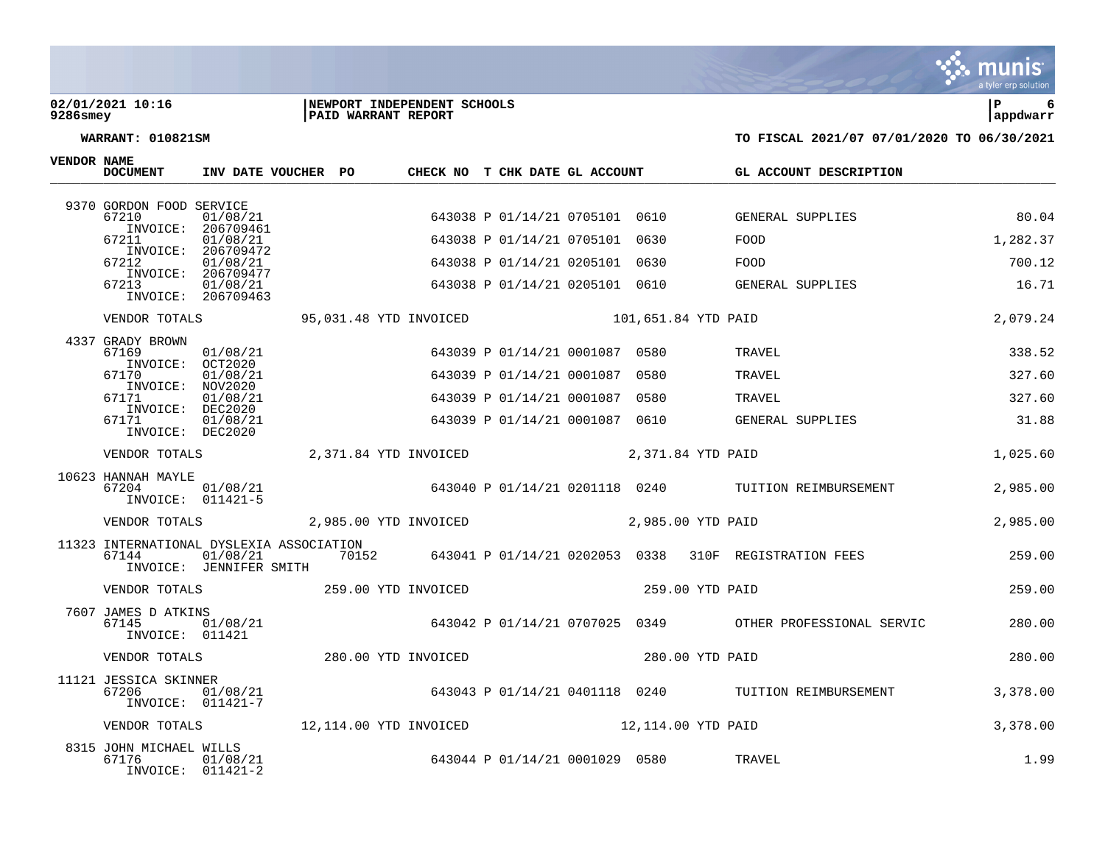### **02/01/2021 10:16 |NEWPORT INDEPENDENT SCHOOLS |P 6 9286smey |PAID WARRANT REPORT |appdwarr**



|  |  | . . |
|--|--|-----|
|  |  |     |
|  |  |     |
|  |  |     |
|  |  |     |
|  |  |     |
|  |  |     |

| VENDOR NAME | <b>DOCUMENT</b>                                       |                                             | INV DATE VOUCHER PO |                                         | CHECK NO T CHK DATE GL ACCOUNT |                     |                 | GL ACCOUNT DESCRIPTION                                                     |          |
|-------------|-------------------------------------------------------|---------------------------------------------|---------------------|-----------------------------------------|--------------------------------|---------------------|-----------------|----------------------------------------------------------------------------|----------|
|             | 9370 GORDON FOOD SERVICE                              |                                             |                     |                                         |                                |                     |                 |                                                                            |          |
|             | 67210                                                 | 01/08/21<br>INVOICE: 206709461              |                     |                                         | 643038 P 01/14/21 0705101 0610 |                     |                 | GENERAL SUPPLIES                                                           | 80.04    |
|             | 67211                                                 | 01/08/21                                    |                     |                                         | 643038 P 01/14/21 0705101 0630 |                     |                 | FOOD                                                                       | 1,282.37 |
|             | INVOICE:<br>67212                                     | 206709472<br>01/08/21                       |                     |                                         | 643038 P 01/14/21 0205101 0630 |                     |                 | FOOD                                                                       | 700.12   |
|             | INVOICE:<br>67213                                     | 206709477<br>01/08/21<br>INVOICE: 206709463 |                     |                                         | 643038 P 01/14/21 0205101 0610 |                     |                 | GENERAL SUPPLIES                                                           | 16.71    |
|             | VENDOR TOTALS                                         |                                             |                     | 95,031.48 YTD INVOICED                  |                                | 101,651.84 YTD PAID |                 |                                                                            | 2,079.24 |
|             | 4337 GRADY BROWN<br>67169                             | 01/08/21                                    |                     |                                         | 643039 P 01/14/21 0001087 0580 |                     |                 | TRAVEL                                                                     | 338.52   |
|             | INVOICE: OCT2020<br>67170                             | 01/08/21                                    |                     |                                         | 643039 P 01/14/21 0001087      | 0580                |                 | TRAVEL                                                                     | 327.60   |
|             | INVOICE: NOV2020<br>67171                             | 01/08/21                                    |                     |                                         | 643039 P 01/14/21 0001087 0580 |                     |                 | TRAVEL                                                                     | 327.60   |
|             | INVOICE: DEC2020<br>67171<br>INVOICE: DEC2020         | 01/08/21                                    |                     |                                         | 643039 P 01/14/21 0001087 0610 |                     |                 | GENERAL SUPPLIES                                                           | 31.88    |
|             | VENDOR TOTALS                                         |                                             |                     | 2,371.84 YTD INVOICED 2,371.84 YTD PAID |                                |                     |                 |                                                                            | 1,025.60 |
|             | 10623 HANNAH MAYLE<br>67204                           | 01/08/21<br>INVOICE: 011421-5               |                     |                                         |                                |                     |                 | 643040 P 01/14/21 0201118 0240 TUITION REIMBURSEMENT                       | 2,985.00 |
|             |                                                       |                                             |                     |                                         |                                |                     |                 |                                                                            | 2,985.00 |
|             | 11323 INTERNATIONAL DYSLEXIA ASSOCIATION<br>67144     | INVOICE: JENNIFER SMITH                     |                     |                                         |                                |                     |                 | $01/08/21$ $70152$ $643041$ P 01/14/21 0202053 0338 310F REGISTRATION FEES | 259.00   |
|             | VENDOR TOTALS 359.00 YTD INVOICED                     |                                             |                     |                                         |                                |                     | 259.00 YTD PAID |                                                                            | 259.00   |
|             | 7607 JAMES D ATKINS<br>67145<br>INVOICE: 011421       | 01/08/21                                    |                     |                                         |                                |                     |                 | 643042 P 01/14/21 0707025 0349 OTHER PROFESSIONAL SERVIC                   | 280.00   |
|             | VENDOR TOTALS                                         |                                             |                     | 280.00 YTD INVOICED                     |                                |                     | 280.00 YTD PAID |                                                                            | 280.00   |
|             | 11121 JESSICA SKINNER<br>67206                        | 01/08/21<br>INVOICE: 011421-7               |                     |                                         |                                |                     |                 | 643043 P 01/14/21 0401118 0240 TUITION REIMBURSEMENT                       | 3,378,00 |
|             | VENDOR TOTALS                                         |                                             |                     | 12,114.00 YTD INVOICED                  |                                | 12,114.00 YTD PAID  |                 |                                                                            | 3,378.00 |
|             | 8315 JOHN MICHAEL WILLS<br>67176<br>INVOICE: 011421-2 | 01/08/21                                    |                     |                                         | 643044 P 01/14/21 0001029 0580 |                     |                 | TRAVEL                                                                     | 1.99     |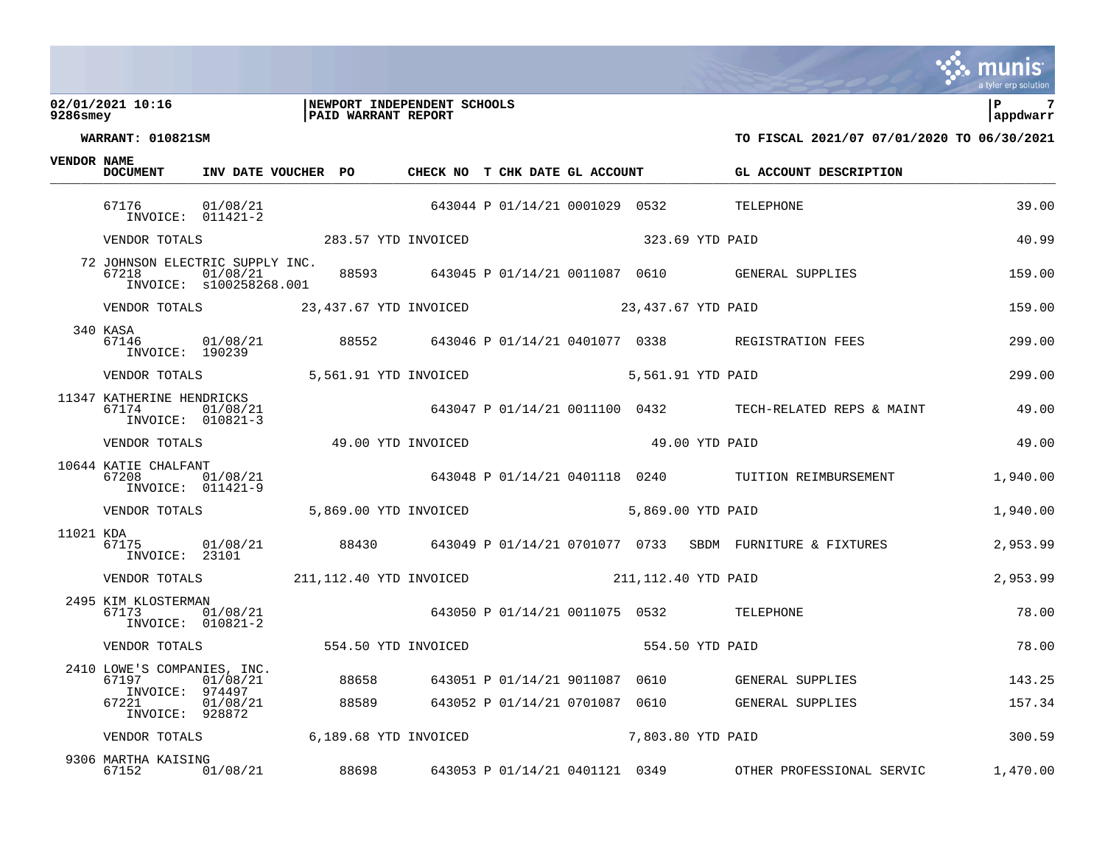### **02/01/2021 10:16 |NEWPORT INDEPENDENT SCHOOLS |P 7 9286smey |PAID WARRANT REPORT |appdwarr**



| VENDOR NAME | <b>DOCUMENT</b>                                                                                           | INV DATE VOUCHER PO                  |       | CHECK NO T CHK DATE GL ACCOUNT |  |                                |                 | GL ACCOUNT DESCRIPTION                                                  |          |
|-------------|-----------------------------------------------------------------------------------------------------------|--------------------------------------|-------|--------------------------------|--|--------------------------------|-----------------|-------------------------------------------------------------------------|----------|
|             | 67176<br>INVOICE: 011421-2                                                                                | 01/08/21                             |       |                                |  |                                |                 | 643044 P 01/14/21 0001029 0532 TELEPHONE                                | 39.00    |
|             | VENDOR TOTALS 283.57 YTD INVOICED                                                                         |                                      |       |                                |  |                                | 323.69 YTD PAID |                                                                         | 40.99    |
|             | 72 JOHNSON ELECTRIC SUPPLY INC.<br>67218                                                                  | 01/08/21<br>INVOICE: s100258268.001  |       |                                |  |                                |                 | 88593 643045 P 01/14/21 0011087 0610 GENERAL SUPPLIES                   | 159.00   |
|             | VENDOR TOTALS 23, 437.67 YTD INVOICED 23, 437.67 YTD PAID                                                 |                                      |       |                                |  |                                |                 |                                                                         | 159.00   |
|             | 340 KASA<br>67146<br>INVOICE: 190239                                                                      |                                      |       |                                |  |                                |                 | 01/08/21  88552  643046  P 01/14/21 0401077  0338  REGISTRATION FEES    | 299.00   |
|             | VENDOR TOTALS 6.561.91 YTD INVOICED 5,561.91 YTD PAID                                                     |                                      |       |                                |  |                                |                 |                                                                         | 299.00   |
|             | 11347 KATHERINE HENDRICKS<br>67174<br>INVOICE: 010821-3                                                   | 01/08/21                             |       |                                |  |                                |                 | 643047 P 01/14/21 0011100 0432 TECH-RELATED REPS & MAINT                | 49.00    |
|             | VENDOR TOTALS                                 49.00 YTD INVOICED                           49.00 YTD PAID |                                      |       |                                |  |                                |                 |                                                                         | 49.00    |
|             | 10644 KATIE CHALFANT<br>67208<br>INVOICE: 011421-9                                                        | 01/08/21                             |       |                                |  |                                |                 | (21 643048 P 01/14/21 0401118 0240 TUITION REIMBURSEMENT                | 1,940.00 |
|             | VENDOR TOTALS 5,869.00 YTD INVOICED 5,869.00 YTD PAID                                                     |                                      |       |                                |  |                                |                 |                                                                         | 1,940.00 |
| 11021 KDA   | 67175<br>INVOICE: 23101                                                                                   |                                      |       |                                |  |                                |                 | 01/08/21 88430 643049 P 01/14/21 0701077 0733 SBDM FURNITURE & FIXTURES | 2,953.99 |
|             | VENDOR TOTALS 211,112.40 YTD INVOICED 211,112.40 YTD PAID                                                 |                                      |       |                                |  |                                |                 |                                                                         | 2,953.99 |
|             | 2495 KIM KLOSTERMAN<br>67173                                                                              | діу<br>01/08/21<br>INVOICE: 010821-2 |       |                                |  |                                |                 | 643050 P 01/14/21 0011075 0532 TELEPHONE                                | 78.00    |
|             | VENDOR TOTALS 554.50 YTD INVOICED                                                                         |                                      |       |                                |  |                                | 554.50 YTD PAID |                                                                         | 78.00    |
|             | 2410 LOWE'S COMPANIES, INC.<br>67197<br>INVOICE: 974497                                                   | 01/08/21                             | 88658 |                                |  |                                |                 | 643051 P 01/14/21 9011087 0610 GENERAL SUPPLIES                         | 143.25   |
|             | 67221<br>INVOICE: 928872                                                                                  | 01/08/21                             |       |                                |  |                                |                 | 88589 643052 P 01/14/21 0701087 0610 GENERAL SUPPLIES                   | 157.34   |
|             | VENDOR TOTALS 6.189.68 YTD INVOICED 7,803.80 YTD PAID                                                     |                                      |       |                                |  |                                |                 |                                                                         | 300.59   |
|             | 9306 MARTHA KAISING<br>67152                                                                              | 01/08/21                             | 88698 |                                |  | 643053 P 01/14/21 0401121 0349 |                 | OTHER PROFESSIONAL SERVIC                                               | 1,470.00 |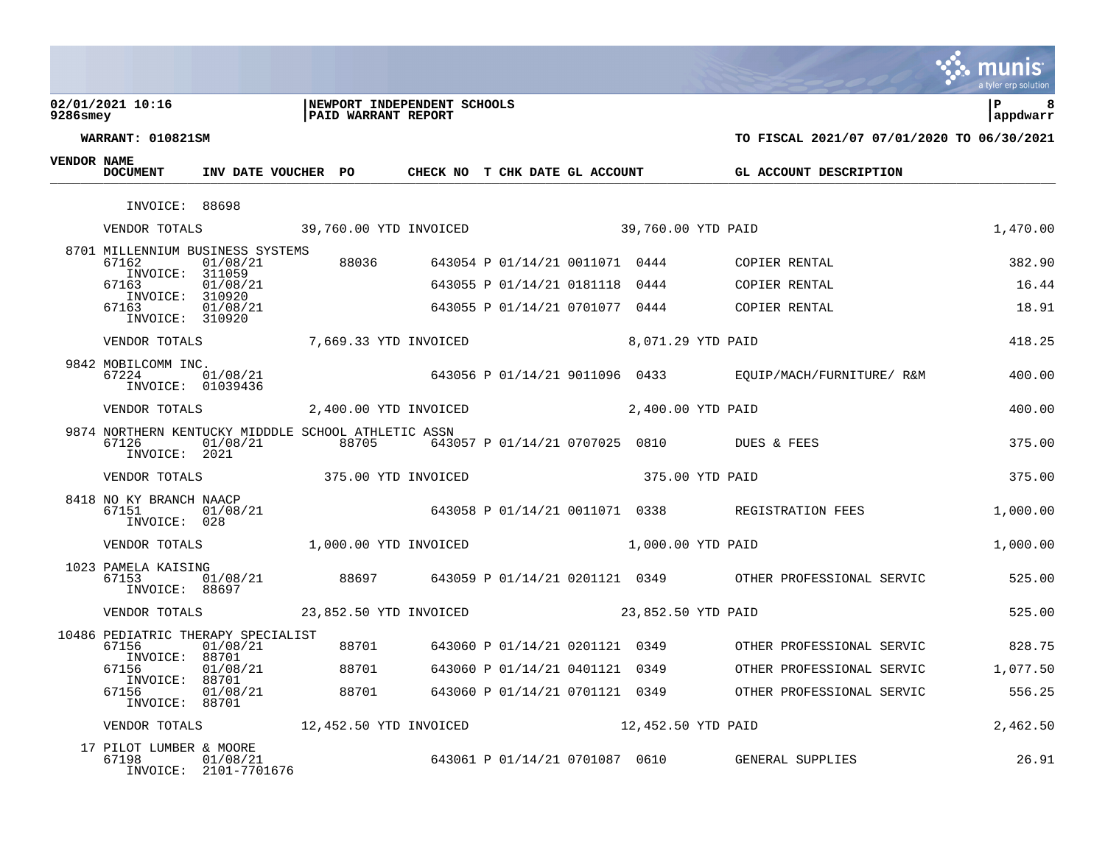### **02/01/2021 10:16 |NEWPORT INDEPENDENT SCHOOLS |P 8 9286smey |PAID WARRANT REPORT |appdwarr**



| $\mathbf{r}$ |  |
|--------------|--|

| <b>VENDOR NAME</b> | <b>DOCUMENT</b>                                   | INV DATE VOUCHER PO                                             |                                         | CHECK NO T CHK DATE GL ACCOUNT |                    | GL ACCOUNT DESCRIPTION                                                                                 |          |
|--------------------|---------------------------------------------------|-----------------------------------------------------------------|-----------------------------------------|--------------------------------|--------------------|--------------------------------------------------------------------------------------------------------|----------|
|                    | INVOICE: 88698                                    |                                                                 |                                         |                                |                    |                                                                                                        |          |
|                    |                                                   | VENDOR TOTALS 39,760.00 YTD INVOICED 39,760.00 YTD PAID         |                                         |                                |                    |                                                                                                        | 1,470.00 |
|                    | 67162                                             | 8701 MILLENNIUM BUSINESS SYSTEMS<br>01/08/21                    |                                         |                                |                    | 88036 643054 P 01/14/21 0011071 0444 COPIER RENTAL                                                     | 382.90   |
|                    | INVOICE: 311059<br>67163                          | 01/08/21                                                        |                                         | 643055 P 01/14/21 0181118 0444 |                    | COPIER RENTAL                                                                                          | 16.44    |
|                    | INVOICE: 310920<br>67163<br>INVOICE: 310920       | 01/08/21                                                        |                                         |                                |                    | 643055 P 01/14/21 0701077 0444 COPIER RENTAL                                                           | 18.91    |
|                    |                                                   | VENDOR TOTALS 7,669.33 YTD INVOICED 8,071.29 YTD PAID           |                                         |                                |                    |                                                                                                        | 418.25   |
|                    | 9842 MOBILCOMM INC.<br>67224<br>INVOICE: 01039436 | 01/08/21                                                        |                                         |                                |                    | 643056 P 01/14/21 9011096 0433 EQUIP/MACH/FURNITURE/ R&M                                               | 400.00   |
|                    | VENDOR TOTALS                                     |                                                                 | 2,400.00 YTD INVOICED 2,400.00 YTD PAID |                                |                    |                                                                                                        | 400.00   |
|                    | 67126<br>INVOICE: 2021                            | 9874 NORTHERN KENTUCKY MIDDDLE SCHOOL ATHLETIC ASSN<br>01/08/21 | 88705                                   |                                |                    | 643057 P 01/14/21 0707025 0810 DUES & FEES                                                             | 375.00   |
|                    |                                                   | VENDOR TOTALS 375.00 YTD INVOICED                               |                                         |                                | 375.00 YTD PAID    |                                                                                                        | 375.00   |
|                    | 8418 NO KY BRANCH NAACP<br>67151<br>INVOICE: 028  | 01/08/21                                                        |                                         |                                |                    | 643058 P 01/14/21 0011071 0338 REGISTRATION FEES                                                       | 1,000.00 |
|                    |                                                   | VENDOR TOTALS 1,000.00 YTD INVOICED                             |                                         |                                | 1,000.00 YTD PAID  |                                                                                                        | 1,000.00 |
|                    | 1023 PAMELA KAISING<br>67153<br>INVOICE: 88697    |                                                                 |                                         |                                |                    | <br>01/08/21      88697     643059 P 01/14/21 0201121 0349      OTHER PROFESSIONAL SERVIC       525.00 |          |
|                    |                                                   | VENDOR TOTALS 23,852.50 YTD INVOICED                            |                                         |                                | 23,852.50 YTD PAID |                                                                                                        | 525.00   |
|                    | 67156                                             | 10486 PEDIATRIC THERAPY SPECIALIST<br>01/08/21                  |                                         |                                |                    | 88701 643060 P 01/14/21 0201121 0349 OTHER PROFESSIONAL SERVIC 828.75                                  |          |
|                    | INVOICE: 88701<br>67156                           | 01/08/21                                                        | 88701                                   | 643060 P 01/14/21 0401121 0349 |                    | OTHER PROFESSIONAL SERVIC                                                                              | 1,077.50 |
|                    | INVOICE: 88701<br>67156<br>INVOICE: 88701         | 01/08/21                                                        | 88701                                   |                                |                    | 643060 P 01/14/21 0701121 0349 OTHER PROFESSIONAL SERVIC                                               | 556.25   |
|                    |                                                   | VENDOR TOTALS 12,452.50 YTD INVOICED                            |                                         |                                | 12,452.50 YTD PAID |                                                                                                        | 2,462.50 |
|                    | 17 PILOT LUMBER & MOORE<br>67198                  | 01/08/21<br>INVOICE: 2101-7701676                               |                                         |                                |                    | 643061 P 01/14/21 0701087 0610 GENERAL SUPPLIES                                                        | 26.91    |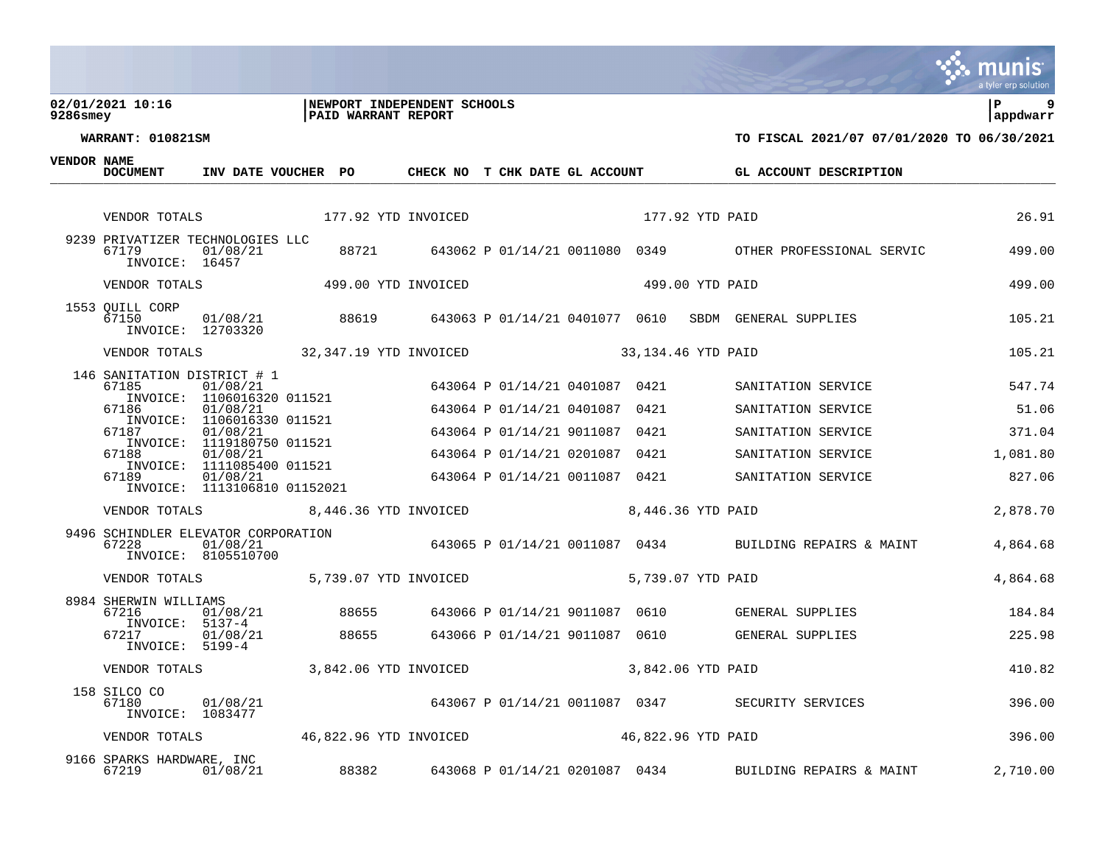### **02/01/2021 10:16 |NEWPORT INDEPENDENT SCHOOLS |P 9 9286smey |PAID WARRANT REPORT |appdwarr**



**WARRANT: 010821SM TO FISCAL 2021/07 07/01/2020 TO 06/30/2021**

 $\overline{\mathbf{V}}$ 

| <b>VENDOR NAME</b> | <b>DOCUMENT</b>                                             | INV DATE VOUCHER PO                      |                                                      |                     | CHECK NO T CHK DATE GL ACCOUNT |                    |                   |                 | GL ACCOUNT DESCRIPTION                                         |          |
|--------------------|-------------------------------------------------------------|------------------------------------------|------------------------------------------------------|---------------------|--------------------------------|--------------------|-------------------|-----------------|----------------------------------------------------------------|----------|
|                    |                                                             |                                          |                                                      |                     |                                |                    |                   |                 |                                                                |          |
|                    | VENDOR TOTALS                                               |                                          |                                                      | 177.92 YTD INVOICED |                                |                    |                   | 177.92 YTD PAID |                                                                | 26.91    |
|                    | 9239 PRIVATIZER TECHNOLOGIES LLC<br>67179<br>INVOICE: 16457 | 01/08/21                                 |                                                      |                     |                                |                    |                   |                 | 88721 643062 P 01/14/21 0011080 0349 OTHER PROFESSIONAL SERVIC | 499.00   |
|                    | VENDOR TOTALS                                               |                                          | 499.00 YTD INVOICED                                  |                     |                                |                    |                   | 499.00 YTD PAID |                                                                | 499.00   |
|                    | 1553 QUILL CORP<br>67150<br>INVOICE: 12703320               | 01/08/21                                 | 88619                                                |                     | 643063 P 01/14/21 0401077 0610 |                    |                   |                 | SBDM GENERAL SUPPLIES                                          | 105.21   |
|                    | VENDOR TOTALS 32,347.19 YTD INVOICED                        |                                          |                                                      |                     |                                | 33,134.46 YTD PAID |                   |                 |                                                                | 105.21   |
|                    | 146 SANITATION DISTRICT # 1<br>67185                        | 01/08/21<br>INVOICE: 1106016320 011521   |                                                      |                     | 643064 P 01/14/21 0401087 0421 |                    |                   |                 | SANITATION SERVICE                                             | 547.74   |
|                    | 67186                                                       | 01/08/21<br>INVOICE: 1106016330 011521   |                                                      |                     | 643064 P 01/14/21 0401087      |                    | 0421              |                 | SANITATION SERVICE                                             | 51.06    |
|                    | 67187                                                       | 01/08/21<br>INVOICE: 1119180750 011521   |                                                      |                     | 643064 P 01/14/21 9011087      |                    | 0421              |                 | SANITATION SERVICE                                             | 371.04   |
|                    | 67188                                                       | 01/08/21<br>INVOICE: 1111085400 011521   |                                                      |                     | 643064 P 01/14/21 0201087      |                    | 0421              |                 | SANITATION SERVICE                                             | 1,081.80 |
|                    | 67189                                                       | 01/08/21<br>INVOICE: 1113106810 01152021 |                                                      |                     | 643064 P 01/14/21 0011087 0421 |                    |                   |                 | SANITATION SERVICE                                             | 827.06   |
|                    | VENDOR TOTALS                                               |                                          | 8,446.36 YTD INVOICED 8,446.36 YTD PAID              |                     |                                |                    |                   |                 |                                                                | 2,878.70 |
|                    | 9496 SCHINDLER ELEVATOR CORPORATION<br>67228                | 01/08/21<br>INVOICE: 8105510700          |                                                      |                     |                                |                    |                   |                 | 643065 P 01/14/21 0011087 0434 BUILDING REPAIRS & MAINT        | 4,864.68 |
|                    | VENDOR TOTALS 5,739.07 YTD INVOICED                         |                                          |                                                      |                     |                                |                    | 5,739.07 YTD PAID |                 |                                                                | 4,864.68 |
|                    | 8984 SHERWIN WILLIAMS<br>67216<br>$INVOICE: 5137-4$         | 01/08/21                                 | 88655                                                |                     | 643066 P 01/14/21 9011087 0610 |                    |                   |                 | GENERAL SUPPLIES                                               | 184.84   |
|                    | 67217<br>$INVOICE: 5199-4$                                  | 01/08/21                                 |                                                      | 88655               |                                |                    |                   |                 | 643066 P 01/14/21 9011087 0610 GENERAL SUPPLIES                | 225.98   |
|                    | VENDOR TOTALS                                               |                                          | 3,842.06 YTD INVOICED                                |                     |                                |                    | 3,842.06 YTD PAID |                 |                                                                | 410.82   |
|                    | 158 SILCO CO<br>67180<br>INVOICE: 1083477                   | 01/08/21                                 |                                                      |                     |                                |                    |                   |                 | 643067 P 01/14/21 0011087 0347 SECURITY SERVICES               | 396.00   |
|                    | VENDOR TOTALS                                               |                                          | 46,822.96 YTD INVOICED            46,822.96 YTD PAID |                     |                                |                    |                   |                 |                                                                | 396.00   |
|                    | 9166 SPARKS HARDWARE, INC<br>67219                          | 01/08/21                                 | 88382                                                |                     | 643068 P 01/14/21 0201087 0434 |                    |                   |                 | BUILDING REPAIRS & MAINT                                       | 2,710.00 |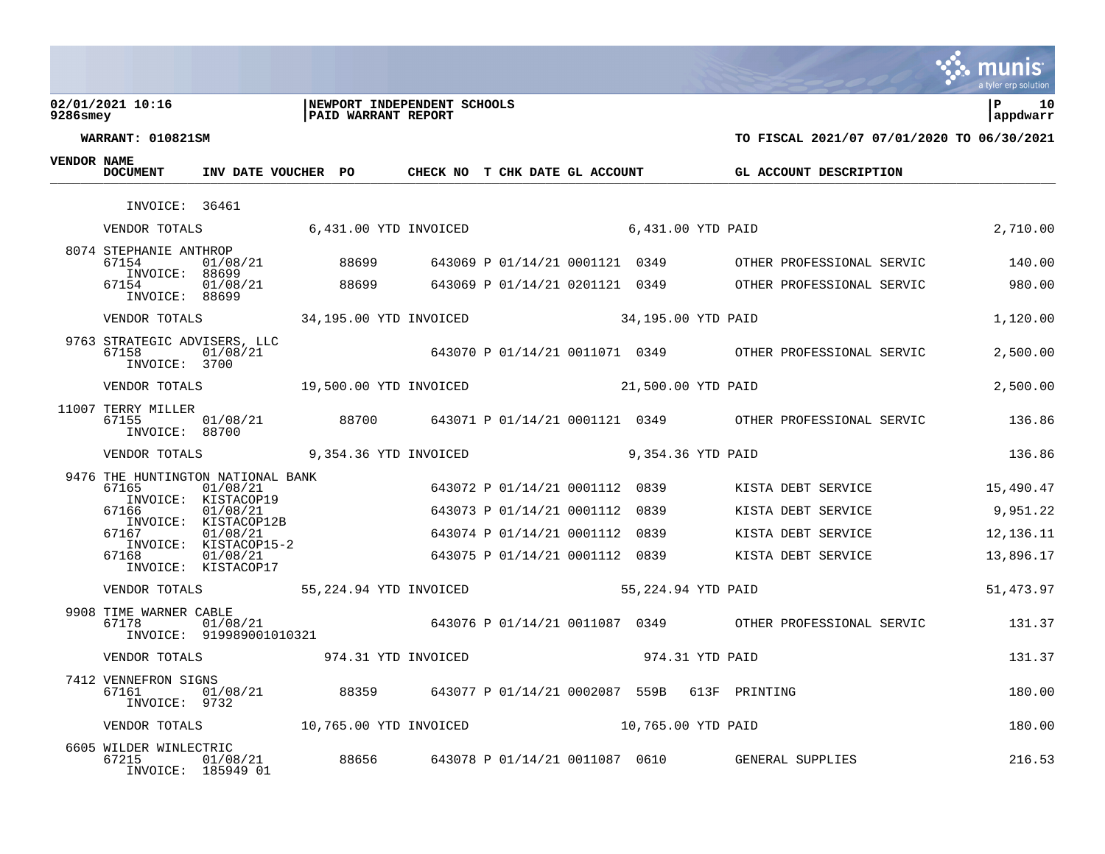### **02/01/2021 10:16 |NEWPORT INDEPENDENT SCHOOLS |P 10 9286smey |PAID WARRANT REPORT |appdwarr**



munis

| VENDOR NAME | <b>DOCUMENT</b>                                                   | INV DATE VOUCHER PO                  |       |                                           | CHECK NO T CHK DATE GL ACCOUNT |      | <b>GL ACCOUNT DESCRIPTION</b>                                           |             |
|-------------|-------------------------------------------------------------------|--------------------------------------|-------|-------------------------------------------|--------------------------------|------|-------------------------------------------------------------------------|-------------|
|             | INVOICE: 36461                                                    |                                      |       |                                           |                                |      |                                                                         |             |
|             | VENDOR TOTALS                                                     |                                      |       | 6,431.00 YTD INVOICED                     |                                |      | 6,431.00 YTD PAID                                                       | 2,710.00    |
|             | 8074 STEPHANIE ANTHROP<br>67154<br>INVOICE: 88699                 | 01/08/21                             | 88699 |                                           | 643069 P 01/14/21 0001121 0349 |      | OTHER PROFESSIONAL SERVIC                                               | 140.00      |
|             | 67154<br>INVOICE: 88699                                           | 01/08/21                             | 88699 |                                           |                                |      | 643069 P 01/14/21 0201121 0349 OTHER PROFESSIONAL SERVIC                | 980.00      |
|             | VENDOR TOTALS                                                     |                                      |       | 34,195.00 YTD INVOICED 34,195.00 YTD PAID |                                |      |                                                                         | 1,120.00    |
|             | 9763 STRATEGIC ADVISERS, LLC<br>67158<br>INVOICE: 3700            | 01/08/21                             |       |                                           |                                |      | 643070 P 01/14/21 0011071 0349 OTHER PROFESSIONAL SERVIC                | 2,500.00    |
|             | VENDOR TOTALS 19,500.00 YTD INVOICED                              |                                      |       |                                           | 21,500.00 YTD PAID             |      |                                                                         | 2,500.00    |
|             | 11007 TERRY MILLER<br>67155<br>INVOICE: 88700                     | 01/08/21                             |       |                                           |                                |      | 88700 643071 P 01/14/21 0001121 0349 OTHER PROFESSIONAL SERVIC 67136.86 |             |
|             | VENDOR TOTALS                                                     |                                      |       | 9,354.36 YTD INVOICED                     |                                |      | 9,354.36 YTD PAID                                                       | 136.86      |
|             | 9476 THE HUNTINGTON NATIONAL BANK<br>67165<br>INVOICE: KISTACOP19 | 01/08/21                             |       |                                           | 643072 P 01/14/21 0001112 0839 |      | KISTA DEBT SERVICE                                                      | 15,490.47   |
|             | 67166                                                             | 01/08/21<br>INVOICE: KISTACOP12B     |       |                                           | 643073 P 01/14/21 0001112      | 0839 | KISTA DEBT SERVICE                                                      | 9,951.22    |
|             | 67167                                                             | 01/08/21<br>INVOICE: KISTACOP15-2    |       |                                           | 643074 P 01/14/21 0001112      | 0839 | KISTA DEBT SERVICE                                                      | 12, 136. 11 |
|             | 67168<br>INVOICE: KISTACOP17                                      | 01/08/21                             |       |                                           | 643075 P 01/14/21 0001112 0839 |      | KISTA DEBT SERVICE                                                      | 13,896.17   |
|             | VENDOR TOTALS                                                     |                                      |       | 55,224.94 YTD INVOICED                    |                                |      | 55,224.94 YTD PAID                                                      | 51,473.97   |
|             | 9908 TIME WARNER CABLE<br>67178                                   | 01/08/21<br>INVOICE: 919989001010321 |       |                                           |                                |      | 643076 P 01/14/21 0011087 0349 OTHER PROFESSIONAL SERVIC                | 131.37      |
|             | VENDOR TOTALS                                                     |                                      |       | 974.31 YTD INVOICED                       |                                |      | 974.31 YTD PAID                                                         | 131.37      |
|             | 7412 VENNEFRON SIGNS<br>67161<br>INVOICE: 9732                    | 01/08/21 88359                       |       |                                           |                                |      | 643077 P 01/14/21 0002087 559B 613F PRINTING                            | 180.00      |
|             | VENDOR TOTALS                                                     |                                      |       | 10,765.00 YTD INVOICED                    |                                |      | 10,765.00 YTD PAID                                                      | 180.00      |
|             | 6605 WILDER WINLECTRIC<br>67215<br>INVOICE: 185949 01             | 01/08/21                             |       |                                           |                                |      | 88656 643078 P 01/14/21 0011087 0610 GENERAL SUPPLIES                   | 216.53      |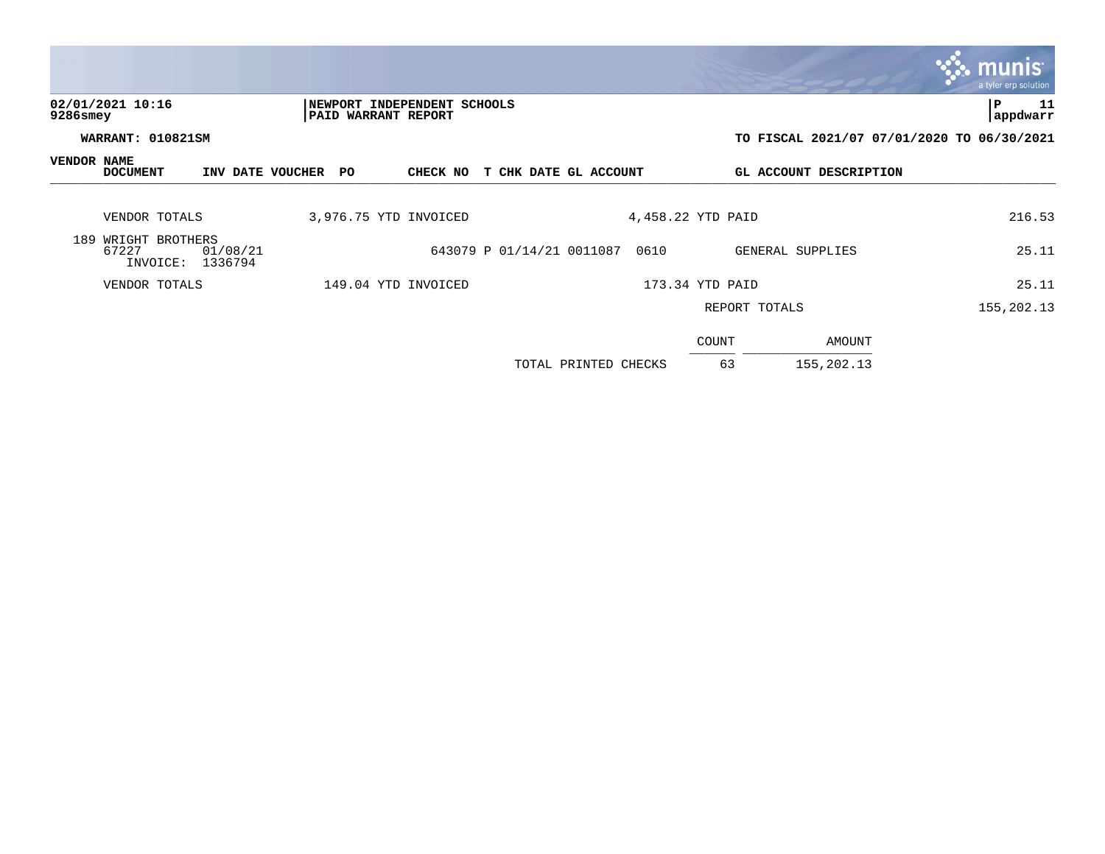|             |                                          |                     |                     |  |                                                    |                           |                      |      |                   |                        | <b>munis</b><br>a tyler erp solution       |
|-------------|------------------------------------------|---------------------|---------------------|--|----------------------------------------------------|---------------------------|----------------------|------|-------------------|------------------------|--------------------------------------------|
| 9286smey    | 02/01/2021 10:16                         |                     |                     |  | NEWPORT INDEPENDENT SCHOOLS<br>PAID WARRANT REPORT |                           |                      |      |                   |                        | 11<br>P<br>appdwarr                        |
|             | WARRANT: 010821SM                        |                     |                     |  |                                                    |                           |                      |      |                   |                        | TO FISCAL 2021/07 07/01/2020 TO 06/30/2021 |
| VENDOR NAME | <b>DOCUMENT</b>                          |                     | INV DATE VOUCHER PO |  | CHECK NO                                           | T CHK DATE GL ACCOUNT     |                      |      |                   | GL ACCOUNT DESCRIPTION |                                            |
|             | VENDOR TOTALS                            |                     |                     |  | 3,976.75 YTD INVOICED                              |                           |                      |      | 4,458.22 YTD PAID |                        | 216.53                                     |
|             | 189 WRIGHT BROTHERS<br>67227<br>INVOICE: | 01/08/21<br>1336794 |                     |  |                                                    | 643079 P 01/14/21 0011087 |                      | 0610 |                   | GENERAL SUPPLIES       | 25.11                                      |
|             | VENDOR TOTALS                            |                     |                     |  | 149.04 YTD INVOICED                                |                           |                      |      | 173.34 YTD PAID   |                        | 25.11                                      |
|             |                                          |                     |                     |  |                                                    |                           |                      |      | REPORT TOTALS     |                        | 155,202.13                                 |
|             |                                          |                     |                     |  |                                                    |                           |                      |      | COUNT             | AMOUNT                 |                                            |
|             |                                          |                     |                     |  |                                                    |                           | TOTAL PRINTED CHECKS |      | 63                | 155, 202. 13           |                                            |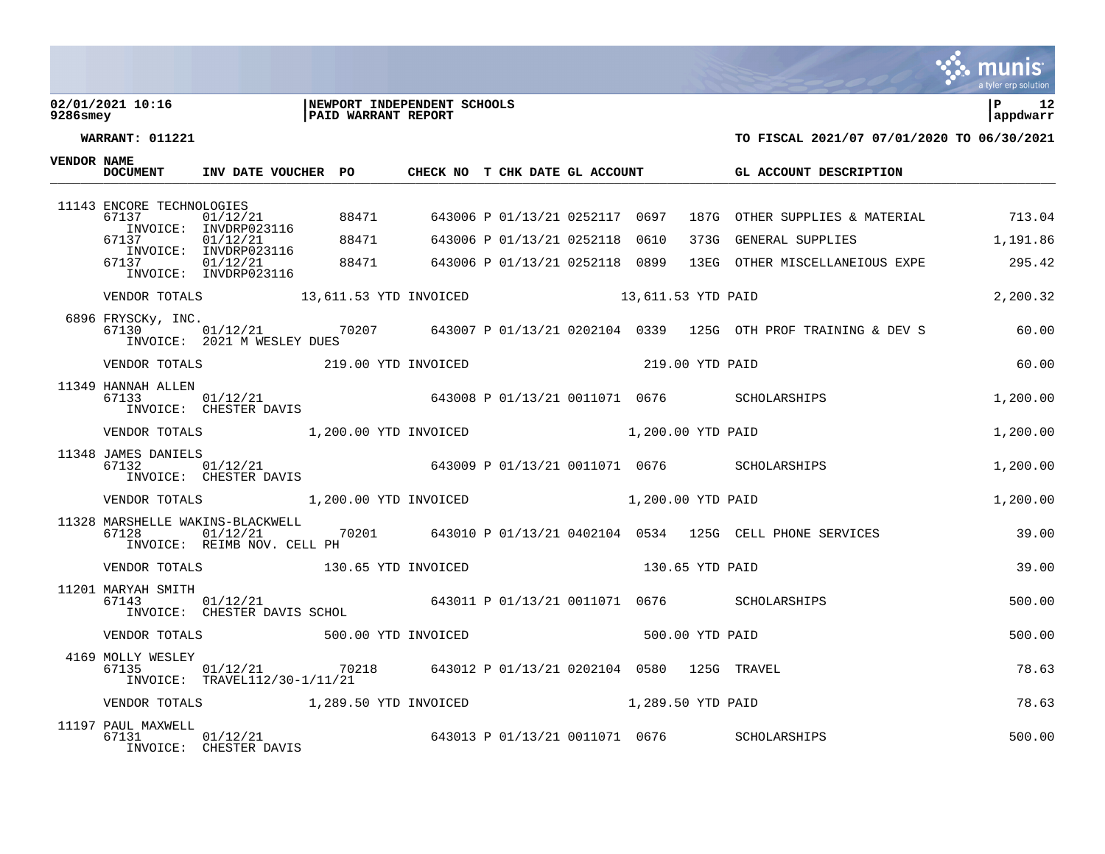### **02/01/2021 10:16 |NEWPORT INDEPENDENT SCHOOLS |P 12 9286smey |PAID WARRANT REPORT |appdwarr**



| <b>VENDOR NAME</b> | <b>DOCUMENT</b>              | INV DATE VOUCHER PO                                                                          |       | CHECK NO T CHK DATE GL ACCOUNT |  |                 | GL ACCOUNT DESCRIPTION                                                                                   |          |
|--------------------|------------------------------|----------------------------------------------------------------------------------------------|-------|--------------------------------|--|-----------------|----------------------------------------------------------------------------------------------------------|----------|
|                    | 11143 ENCORE TECHNOLOGIES    |                                                                                              |       |                                |  |                 |                                                                                                          |          |
|                    | 67137                        | 01/12/21 88471<br>INVOICE: INVDRP023116                                                      |       |                                |  |                 | 643006 P 01/13/21 0252117 0697 187G OTHER SUPPLIES & MATERIAL 713.04                                     |          |
|                    | 67137                        | INVOICE: INVDRP023116                                                                        | 88471 |                                |  |                 | 373G GENERAL SUPPLIES 1,191.86                                                                           |          |
|                    | 67137                        |                                                                                              |       |                                |  |                 |                                                                                                          |          |
|                    |                              |                                                                                              |       |                                |  |                 |                                                                                                          | 2,200.32 |
|                    | 6896 FRYSCKy, INC.<br>67130  | INVOICE: 2021 M WESLEY DUES                                                                  |       |                                |  |                 | , 1.1.1.1/2/21      70207     643007 P 01/13/21 0202104 0339  125G OTH PROF TRAINING & DEV S       60.00 |          |
|                    |                              | VENDOR TOTALS 219.00 YTD INVOICED                                                            |       |                                |  | 219.00 YTD PAID |                                                                                                          | 60.00    |
|                    | 11349 HANNAH ALLEN<br>67133  | INVOICE: CHESTER DAVIS                                                                       |       |                                |  |                 |                                                                                                          | 1,200.00 |
|                    |                              | VENDOR TOTALS 1,200.00 YTD INVOICED 1,200.00 YTD PAID                                        |       |                                |  |                 |                                                                                                          | 1,200.00 |
|                    | 11348 JAMES DANIELS<br>67132 | INVOICE: CHESTER DAVIS                                                                       |       |                                |  |                 | )ANIELS<br>01/1 <u>2/2</u> 1_______        643009 P 01/13/21 0011071 0676     SCHOLARSHIPS               | 1,200.00 |
|                    |                              | VENDOR TOTALS 1,200.00 YTD INVOICED 1,200.00 YTD PAID                                        |       |                                |  |                 |                                                                                                          | 1,200.00 |
|                    | 67128                        | 11328 MARSHELLE WAKINS-BLACKWELL<br>01/12/21<br>INVOICE: REIMB NOV. CELL PH                  |       |                                |  |                 |                                                                                                          |          |
|                    |                              | VENDOR TOTALS 130.65 YTD INVOICED                                                            |       | 130.65 YTD PAID                |  |                 |                                                                                                          | 39.00    |
|                    | 11201 MARYAH SMITH<br>67143  | 01/12/21 0011071 0676 SCHOLARSHIPS<br>INVOICE: CHESTER DAVIS SCHOL                           |       |                                |  |                 |                                                                                                          | 500.00   |
|                    |                              | VENDOR TOTALS 500.00 YTD INVOICED                                                            |       |                                |  | 500.00 YTD PAID |                                                                                                          | 500.00   |
|                    | 4169 MOLLY WESLEY<br>67135   | $01/12/21$ 70218 643012 P 01/13/21 0202104 0580 125G TRAVEL<br>INVOICE: TRAVEL112/30-1/11/21 |       |                                |  |                 |                                                                                                          | 78.63    |
|                    |                              | VENDOR TOTALS 1,289.50 YTD INVOICED 1,289.50 YTD PAID                                        |       |                                |  |                 |                                                                                                          | 78.63    |
|                    | 11197 PAUL MAXWELL<br>67131  | 01/12/21<br>INVOICE: CHESTER DAVIS                                                           |       |                                |  |                 | 643013 P 01/13/21 0011071 0676 SCHOLARSHIPS                                                              | 500.00   |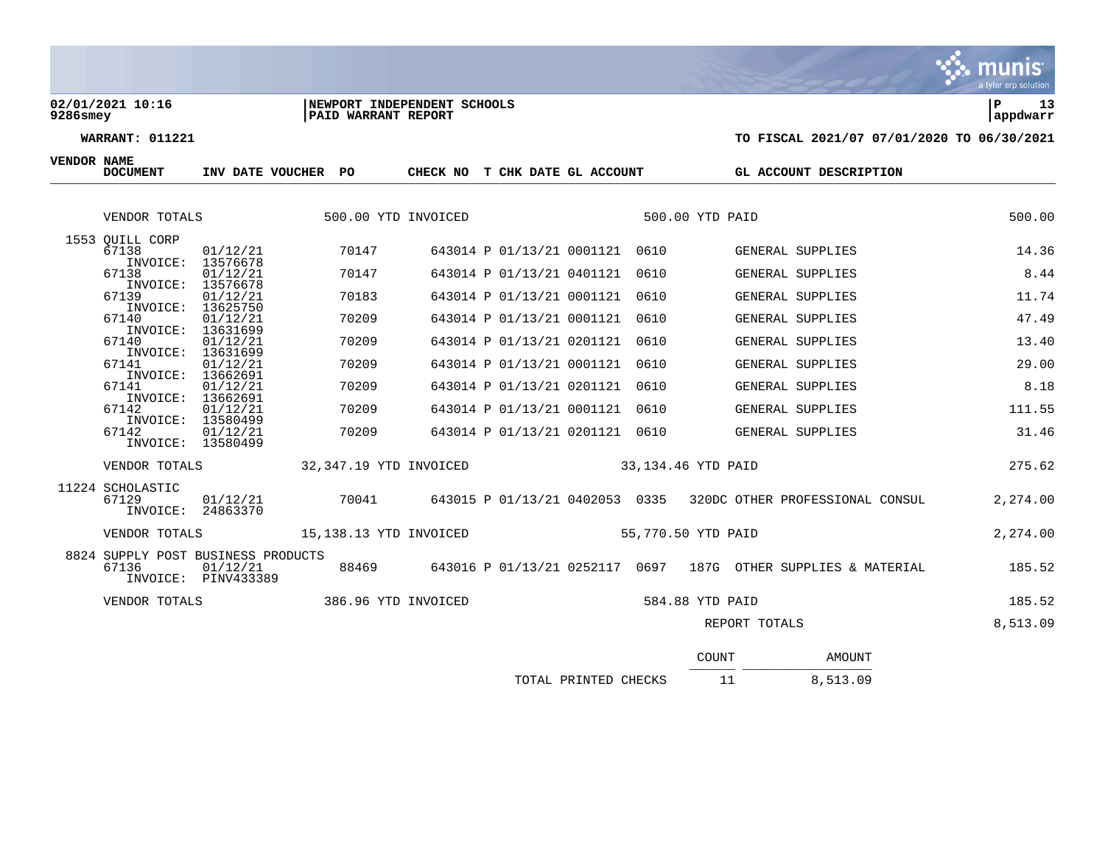### **02/01/2021 10:16 |NEWPORT INDEPENDENT SCHOOLS |P 13 9286smey |PAID WARRANT REPORT |appdwarr**

**VENDOR NAME**

| <b>DOCUMENT</b>                             | INV DATE VOUCHER PO                       |                        | CHECK NO | T CHK DATE GL ACCOUNT          |      | GL ACCOUNT DESCRIPTION                                        |          |
|---------------------------------------------|-------------------------------------------|------------------------|----------|--------------------------------|------|---------------------------------------------------------------|----------|
| VENDOR TOTALS                               |                                           | 500.00 YTD INVOICED    |          |                                |      | 500.00 YTD PAID                                               | 500.00   |
| 1553 OUILL CORP                             |                                           |                        |          |                                |      |                                                               |          |
| 67138<br>INVOICE:                           | 01/12/21<br>13576678                      | 70147                  |          | 643014 P 01/13/21 0001121 0610 |      | GENERAL SUPPLIES                                              | 14.36    |
| 67138<br>INVOICE:                           | 01/12/21<br>13576678                      | 70147                  |          | 643014 P 01/13/21 0401121      | 0610 | GENERAL SUPPLIES                                              | 8.44     |
| 67139<br>INVOICE:                           | 01/12/21<br>13625750                      | 70183                  |          | 643014 P 01/13/21 0001121      | 0610 | GENERAL SUPPLIES                                              | 11.74    |
| 67140                                       | 01/12/21                                  | 70209                  |          | 643014 P 01/13/21 0001121      | 0610 | GENERAL SUPPLIES                                              | 47.49    |
| INVOICE:<br>67140                           | 13631699<br>01/12/21                      | 70209                  |          | 643014 P 01/13/21 0201121      | 0610 | GENERAL SUPPLIES                                              | 13.40    |
| 67141                                       | INVOICE: 13631699<br>01/12/21             | 70209                  |          | 643014 P 01/13/21 0001121      | 0610 | <b>GENERAL SUPPLIES</b>                                       | 29.00    |
| INVOICE:<br>67141                           | 13662691<br>01/12/21                      | 70209                  |          | 643014 P 01/13/21 0201121      | 0610 | GENERAL SUPPLIES                                              | 8.18     |
| INVOICE:<br>67142                           | 13662691<br>01/12/21                      | 70209                  |          | 643014 P 01/13/21 0001121      | 0610 | <b>GENERAL SUPPLIES</b>                                       | 111.55   |
| INVOICE:<br>67142                           | 13580499<br>01/12/21<br>INVOICE: 13580499 | 70209                  |          | 643014 P 01/13/21 0201121 0610 |      | GENERAL SUPPLIES                                              | 31.46    |
| VENDOR TOTALS                               |                                           | 32,347.19 YTD INVOICED |          |                                |      | 33,134.46 YTD PAID                                            | 275.62   |
| 11224 SCHOLASTIC<br>67129<br>INVOICE:       | 01/12/21<br>24863370                      | 70041                  |          | 643015 P 01/13/21 0402053 0335 |      | 320DC OTHER PROFESSIONAL CONSUL                               | 2,274.00 |
| VENDOR TOTALS                               |                                           | 15,138.13 YTD INVOICED |          |                                |      | 55,770.50 YTD PAID                                            | 2,274.00 |
| 8824 SUPPLY POST BUSINESS PRODUCTS<br>67136 | 01/12/21<br>INVOICE: PINV433389           | 88469                  |          |                                |      | 643016 P 01/13/21 0252117 0697 187G OTHER SUPPLIES & MATERIAL | 185.52   |
| VENDOR TOTALS                               |                                           | 386.96 YTD INVOICED    |          |                                |      | 584.88 YTD PAID                                               | 185.52   |
|                                             |                                           |                        |          |                                |      | REPORT TOTALS                                                 | 8,513.09 |
|                                             |                                           |                        |          |                                |      |                                                               |          |

|                      | COUNT | AMOUNT   |
|----------------------|-------|----------|
| TOTAL PRINTED CHECKS |       | 8,513.09 |

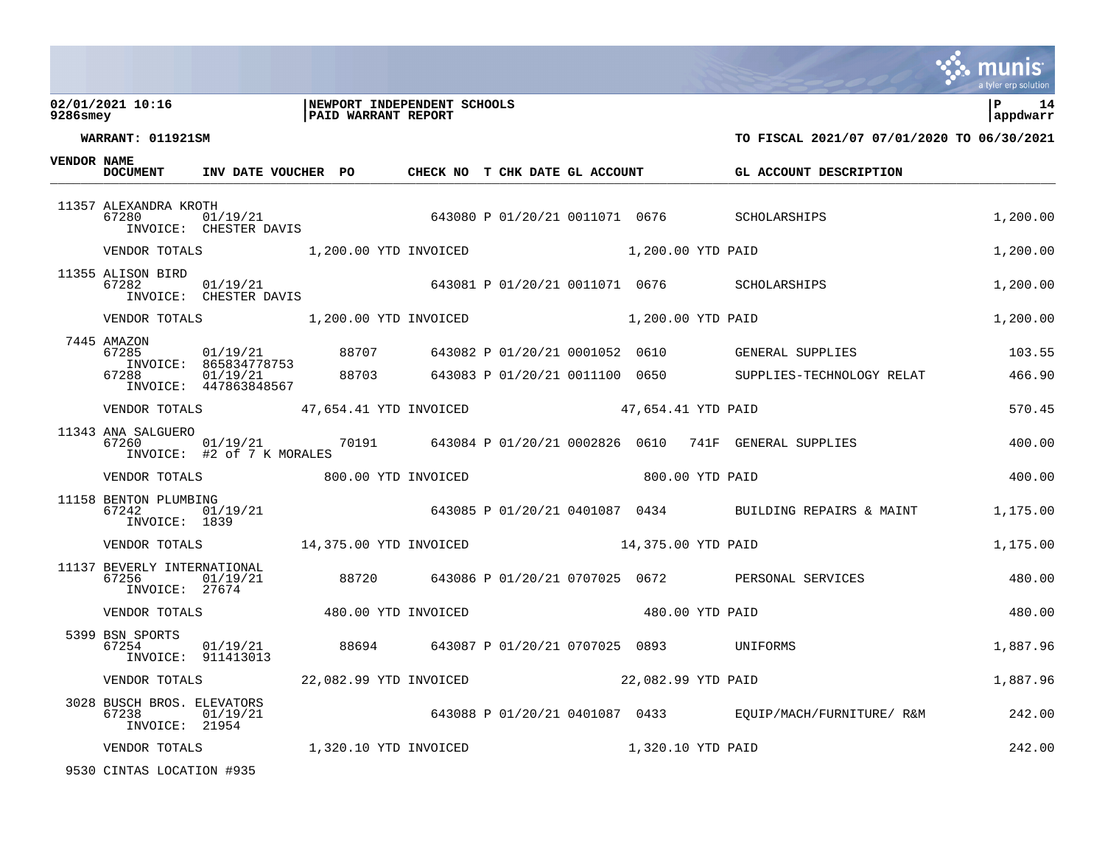### **02/01/2021 10:16 |NEWPORT INDEPENDENT SCHOOLS |P 14 9286smey |PAID WARRANT REPORT |appdwarr**



**WARRANT: 011921SM TO FISCAL 2021/07 07/01/2020 TO 06/30/2021**

**VENDOR NAME**

| <b>DOCUMENT</b>                                        | INV DATE VOUCHER PO                                                                           |  |  | CHECK NO T CHK DATE GL ACCOUNT |  |                   | GL ACCOUNT DESCRIPTION                                                             |          |
|--------------------------------------------------------|-----------------------------------------------------------------------------------------------|--|--|--------------------------------|--|-------------------|------------------------------------------------------------------------------------|----------|
| 11357 ALEXANDRA KROTH<br>67280                         |                                                                                               |  |  |                                |  |                   | 280 01/19/21 043080 P 01/20/21 0011071 0676 SCHOLARSHIPS<br>INVOICE: CHESTER DAVIS | 1,200.00 |
|                                                        | VENDOR TOTALS 1,200.00 YTD INVOICED 1,200.00 YTD PAID                                         |  |  |                                |  |                   |                                                                                    | 1,200.00 |
| 11355 ALISON BIRD<br>67282                             |                                                                                               |  |  |                                |  |                   |                                                                                    | 1,200.00 |
|                                                        | VENDOR TOTALS 1,200.00 YTD INVOICED 1,200.00 YTD PAID                                         |  |  |                                |  |                   |                                                                                    | 1,200.00 |
| 7445 AMAZON<br>67285                                   | INVOICE: 865834778753                                                                         |  |  |                                |  |                   | 01/19/21 88707 643082 P 01/20/21 0001052 0610 GENERAL SUPPLIES                     | 103.55   |
| 67288                                                  | 01/19/21<br>INVOICE: 447863848567                                                             |  |  |                                |  |                   | 88703 643083 P 01/20/21 0011100 0650 SUPPLIES-TECHNOLOGY RELAT                     | 466.90   |
|                                                        | VENDOR TOTALS 47,654.41 YTD INVOICED 47,654.41 YTD PAID                                       |  |  |                                |  |                   |                                                                                    | 570.45   |
| 11343 ANA SALGUERO<br>67260                            | INVOICE: #2 of 7 K MORALES                                                                    |  |  |                                |  |                   | $01/19/21$ $01/19/21$ $0191$ $01/20/21$ $0002826$ $0610$ $741$ GENERAL SUPPLIES    | 400.00   |
|                                                        | VENDOR TOTALS 600.00 YTD INVOICED                                                             |  |  |                                |  | 800.00 YTD PAID   |                                                                                    | 400.00   |
| 11158 BENTON PLUMBING<br>67242<br>INVOICE: 1839        | 01/19/21                                                                                      |  |  |                                |  |                   | 643085 P 01/20/21 0401087 0434 BUILDING REPAIRS & MAINT                            | 1,175.00 |
|                                                        | VENDOR TOTALS 14,375.00 YTD INVOICED 14,375.00 YTD PAID                                       |  |  |                                |  |                   |                                                                                    | 1,175.00 |
| 11137 BEVERLY INTERNATIONAL<br>67256<br>INVOICE: 27674 | 01/19/21                                                                                      |  |  |                                |  |                   | 88720 643086 P 01/20/21 0707025 0672 PERSONAL SERVICES                             | 480.00   |
|                                                        | VENDOR TOTALS                       480.00 YTD INVOICED                       480.00 YTD PAID |  |  |                                |  |                   |                                                                                    | 480.00   |
| 5399 BSN SPORTS<br>67254                               | 01/19/21 88694 643087 P 01/20/21 0707025 0893 UNIFORMS<br>INVOICE: 911413013                  |  |  |                                |  |                   |                                                                                    | 1,887.96 |
| VENDOR TOTALS                                          | 22,082.99 YTD INVOICED 22,082.99 YTD PAID                                                     |  |  |                                |  |                   |                                                                                    | 1,887.96 |
| 3028 BUSCH BROS. ELEVATORS<br>67238<br>INVOICE: 21954  | 01/19/21                                                                                      |  |  |                                |  |                   | 643088 P 01/20/21 0401087 0433 EQUIP/MACH/FURNITURE/ R&M 242.00                    |          |
| VENDOR TOTALS                                          | 1,320.10 YTD INVOICED                                                                         |  |  |                                |  | 1,320.10 YTD PAID |                                                                                    | 242.00   |
|                                                        |                                                                                               |  |  |                                |  |                   |                                                                                    |          |

9530 CINTAS LOCATION #935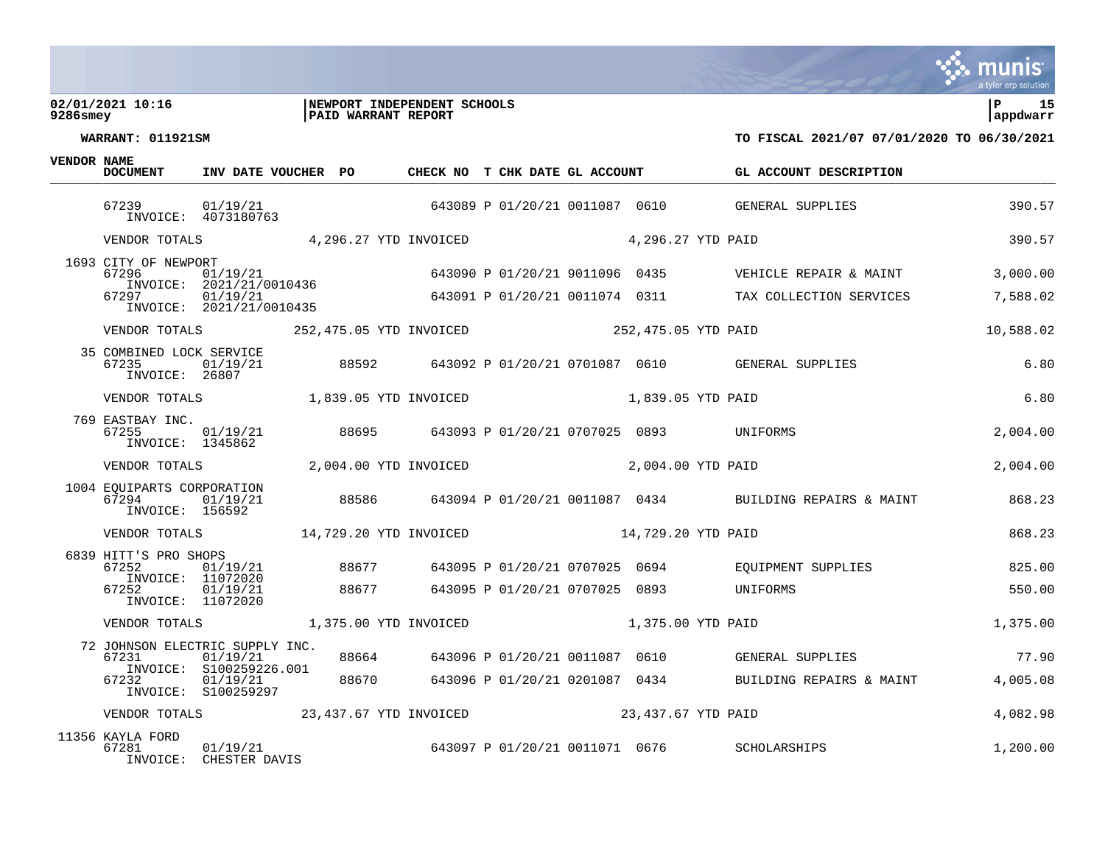### **02/01/2021 10:16 |NEWPORT INDEPENDENT SCHOOLS |P 15 9286smey |PAID WARRANT REPORT |appdwarr**



**WARRANT: 011921SM TO FISCAL 2021/07 07/01/2020 TO 06/30/2021**

| <b>VENDOR NAME</b> | <b>DOCUMENT</b>                                        | INV DATE VOUCHER PO                                                          |                | CHECK NO T CHK DATE GL ACCOUNT |                                                                  |                                         | GL ACCOUNT DESCRIPTION                                                           |                      |
|--------------------|--------------------------------------------------------|------------------------------------------------------------------------------|----------------|--------------------------------|------------------------------------------------------------------|-----------------------------------------|----------------------------------------------------------------------------------|----------------------|
|                    | 67239                                                  | 01/19/21<br>INVOICE: 4073180763                                              |                |                                |                                                                  |                                         | 643089 P 01/20/21 0011087 0610 GENERAL SUPPLIES                                  | 390.57               |
|                    |                                                        | VENDOR TOTALS 4,296.27 YTD INVOICED                                          |                |                                |                                                                  | 4,296.27 YTD PAID                       |                                                                                  | 390.57               |
|                    | 1693 CITY OF NEWPORT<br>67296<br>67297                 | 01/19/21<br>INVOICE: 2021/21/0010436<br>01/19/21<br>INVOICE: 2021/21/0010435 |                |                                | 643090 P 01/20/21 9011096 0435                                   |                                         | VEHICLE REPAIR & MAINT<br>643091 P 01/20/21 0011074 0311 TAX COLLECTION SERVICES | 3,000.00<br>7,588.02 |
|                    | VENDOR TOTALS                                          |                                                                              |                | 252,475.05 YTD INVOICED        |                                                                  | 252,475.05 YTD PAID                     |                                                                                  | 10,588.02            |
|                    | 35 COMBINED LOCK SERVICE<br>67235<br>INVOICE: 26807    | 01/19/21                                                                     | 88592          |                                |                                                                  |                                         | 643092 P 01/20/21 0701087 0610 GENERAL SUPPLIES                                  | 6.80                 |
|                    | VENDOR TOTALS                                          |                                                                              |                | 1,839.05 YTD INVOICED          |                                                                  | 1,839.05 YTD PAID                       |                                                                                  | 6.80                 |
|                    | 769 EASTBAY INC.<br>67255<br>INVOICE: 1345862          | 01/19/21                                                                     | 88695          |                                |                                                                  | 643093 P 01/20/21 0707025 0893 UNIFORMS |                                                                                  | 2,004.00             |
|                    | VENDOR TOTALS                                          |                                                                              |                | 2,004.00 YTD INVOICED          |                                                                  | 2,004.00 YTD PAID                       |                                                                                  | 2,004.00             |
|                    | 1004 EOUIPARTS CORPORATION<br>67294<br>INVOICE: 156592 | 01/19/21                                                                     | 88586          |                                |                                                                  |                                         | 643094 P 01/20/21 0011087 0434 BUILDING REPAIRS & MAINT                          | 868.23               |
|                    | VENDOR TOTALS                                          |                                                                              |                | 14,729.20 YTD INVOICED         |                                                                  | 14,729.20 YTD PAID                      |                                                                                  | 868.23               |
|                    | 6839 HITT'S PRO SHOPS<br>67252<br>67252                | 01/19/21<br>INVOICE: 11072020<br>01/19/21                                    | 88677<br>88677 |                                | 643095 P 01/20/21 0707025 0694<br>643095 P 01/20/21 0707025 0893 |                                         | EOUIPMENT SUPPLIES<br>UNIFORMS                                                   | 825.00<br>550.00     |
|                    |                                                        | INVOICE: 11072020                                                            |                |                                |                                                                  |                                         |                                                                                  |                      |
|                    | VENDOR TOTALS                                          |                                                                              |                | 1,375.00 YTD INVOICED          |                                                                  | 1,375.00 YTD PAID                       |                                                                                  | 1,375.00             |
|                    | 72 JOHNSON ELECTRIC SUPPLY INC.<br>67231               | 01/19/21<br>INVOICE: S100259226.001                                          | 88664          |                                | 643096 P 01/20/21 0011087 0610                                   |                                         | GENERAL SUPPLIES                                                                 | 77.90                |
|                    | 67232                                                  | 01/19/21<br>INVOICE: S100259297                                              | 88670          |                                | 643096 P 01/20/21 0201087 0434                                   |                                         | BUILDING REPAIRS & MAINT                                                         | 4,005.08             |
|                    |                                                        | VENDOR TOTALS 23, 437.67 YTD INVOICED                                        |                |                                |                                                                  | 23,437.67 YTD PAID                      |                                                                                  | 4,082.98             |
|                    | 11356 KAYLA FORD<br>67281                              | 01/19/21                                                                     |                |                                | 643097 P 01/20/21 0011071 0676                                   |                                         | SCHOLARSHIPS                                                                     | 1,200.00             |

INVOICE: CHESTER DAVIS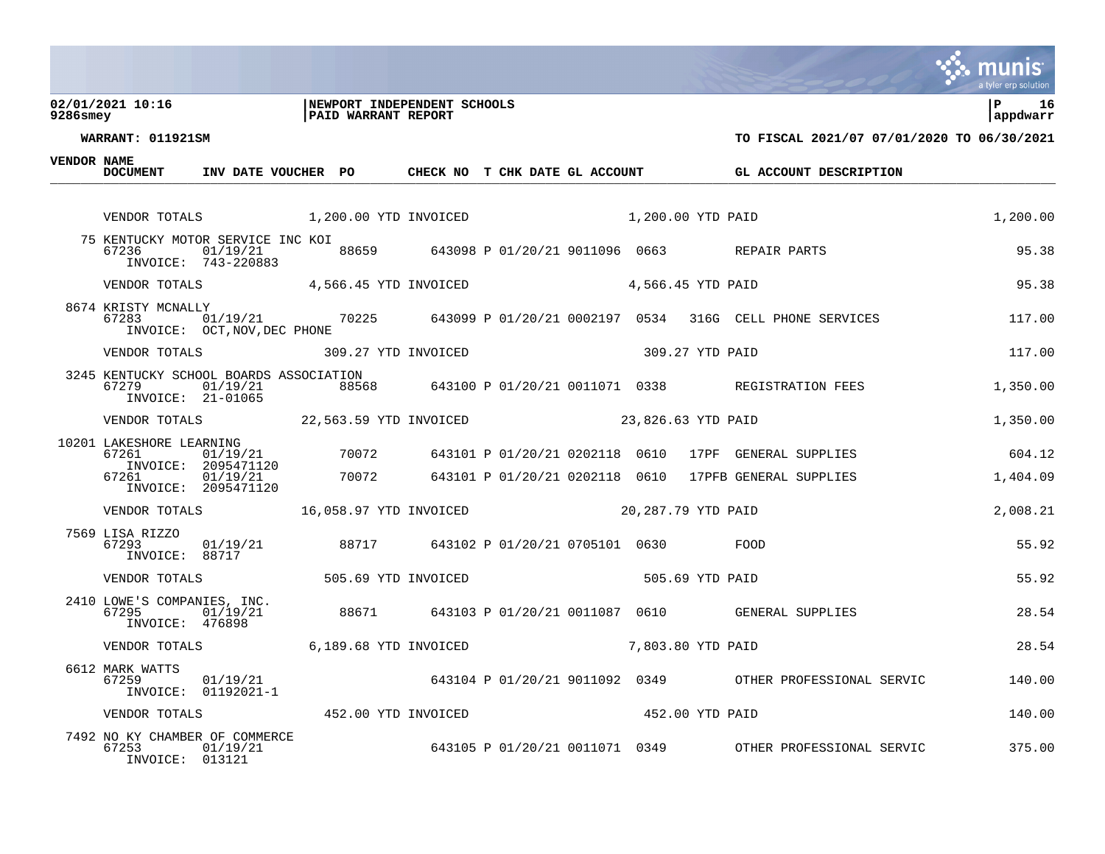### **02/01/2021 10:16 |NEWPORT INDEPENDENT SCHOOLS |P 16 9286smey |PAID WARRANT REPORT |appdwarr**



**WARRANT: 011921SM TO FISCAL 2021/07 07/01/2020 TO 06/30/2021**

**VENDOR NAME**

| <b>VENDOR NAME</b> | <b>DOCUMENT</b>                                                                              | INV DATE VOUCHER PO                                |  |  |                   |  |                 | CHECK NO T CHK DATE GL ACCOUNT GL ACCOUNT DESCRIPTION                                               |          |
|--------------------|----------------------------------------------------------------------------------------------|----------------------------------------------------|--|--|-------------------|--|-----------------|-----------------------------------------------------------------------------------------------------|----------|
|                    |                                                                                              |                                                    |  |  |                   |  |                 |                                                                                                     |          |
|                    | VENDOR TOTALS 1,200.00 YTD INVOICED                                                          |                                                    |  |  | 1,200.00 YTD PAID |  |                 |                                                                                                     | 1,200.00 |
|                    | 75 KENTUCKY MOTOR SERVICE INC KOI<br>67236                                                   | INVOICE: 743-220883                                |  |  |                   |  |                 |                                                                                                     | 95.38    |
|                    | VENDOR TOTALS 4,566.45 YTD INVOICED 4,566.45 YTD PAID                                        |                                                    |  |  |                   |  |                 |                                                                                                     | 95.38    |
|                    | 8674 KRISTY MCNALLY<br>67283                                                                 | INVOICE: OCT, NOV, DEC PHONE                       |  |  |                   |  |                 | 01/19/21 70225 643099 P 01/20/21 0002197 0534 316G CELL PHONE SERVICES                              | 117.00   |
|                    | VENDOR TOTALS 309.27 YTD INVOICED                                                            |                                                    |  |  |                   |  | 309.27 YTD PAID |                                                                                                     | 117.00   |
|                    | 3245 KENTUCKY SCHOOL BOARDS ASSOCIATION<br>67279<br>INVOICE: 21-01065                        | 01/19/21                                           |  |  |                   |  |                 | $-43100 \text{ P}$ 01/20/21 0011071 0338 REGISTRATION FEES                                          | 1,350.00 |
|                    |                                                                                              |                                                    |  |  |                   |  |                 |                                                                                                     | 1,350.00 |
|                    |                                                                                              |                                                    |  |  |                   |  |                 |                                                                                                     | 604.12   |
|                    |                                                                                              |                                                    |  |  |                   |  |                 |                                                                                                     | 1,404.09 |
|                    | VENDOR TOTALS 16,058.97 YTD INVOICED 20,287.79 YTD PAID                                      |                                                    |  |  |                   |  |                 |                                                                                                     | 2,008.21 |
|                    | 7569 LISA RIZZO<br>67293<br>INVOICE: 88717                                                   | 01/19/21 88717 643102 P 01/20/21 0705101 0630 FOOD |  |  |                   |  |                 |                                                                                                     | 55.92    |
|                    | VENDOR TOTALS 505.69 YTD INVOICED                                                            |                                                    |  |  |                   |  | 505.69 YTD PAID |                                                                                                     | 55.92    |
|                    |                                                                                              |                                                    |  |  |                   |  |                 | 2410 LOWE'S COMPANIES, INC.<br>67295 01/19/21 88671 643103 P 01/20/21 0011087 0610 GENERAL SUPPLIES | 28.54    |
|                    | VENDOR TOTALS 6,189.68 YTD INVOICED                                                          |                                                    |  |  | 7,803.80 YTD PAID |  |                 |                                                                                                     | 28.54    |
|                    | 6612 MARK WATTS<br>67259                                                                     | INVOICE: 01192021-1                                |  |  |                   |  |                 | 01/19/21 643104 P 01/20/21 9011092 0349 OTHER PROFESSIONAL SERVIC                                   | 140.00   |
|                    | VENDOR TOTALS                       452.00 YTD INVOICED                      452.00 YTD PAID |                                                    |  |  |                   |  |                 |                                                                                                     | 140.00   |
|                    | 7492 NO KY CHAMBER OF COMMERCE<br>67253 01/19/21                                             |                                                    |  |  |                   |  |                 | <br>643105 P 01/20/21 0011071 0349 OTHER PROFESSIONAL SERVIC                                        | 375.00   |

INVOICE: 013121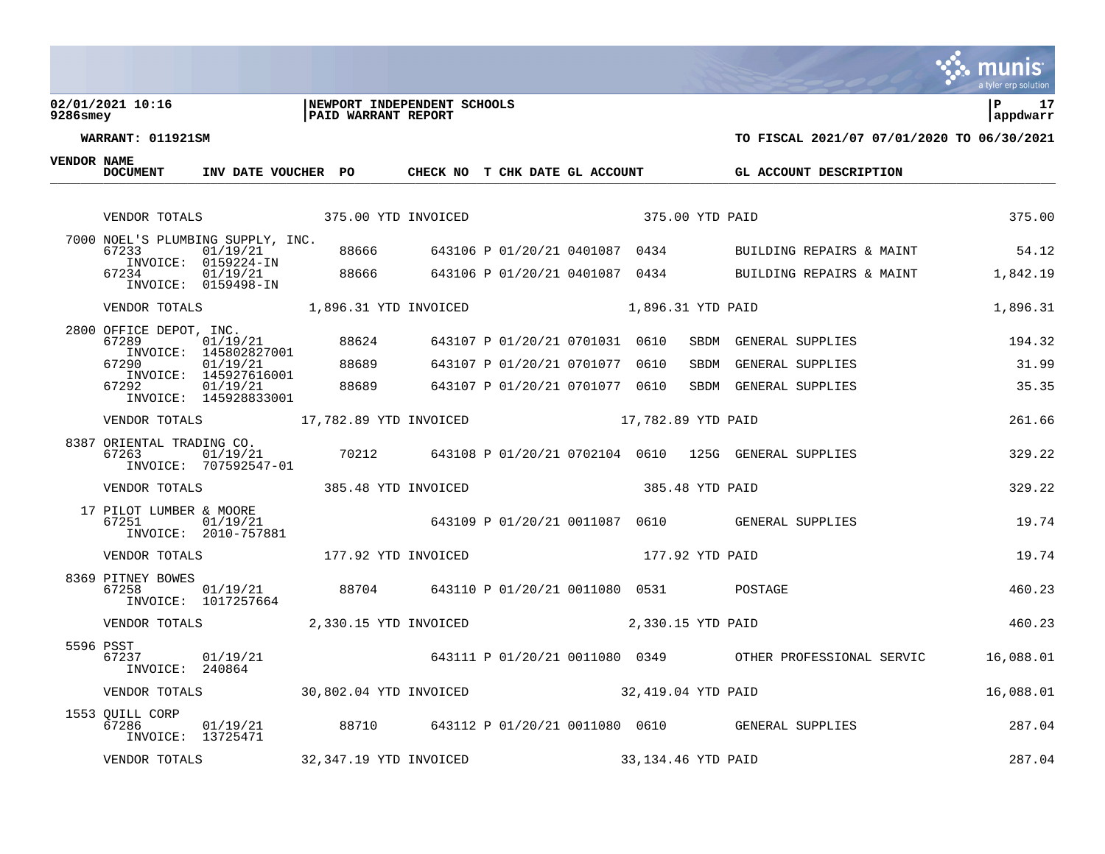### **02/01/2021 10:16 |NEWPORT INDEPENDENT SCHOOLS |P 17 9286smey |PAID WARRANT REPORT |appdwarr**



| VENDOR NAME | <b>DOCUMENT</b>                       | INV DATE VOUCHER PO                                     |       |       | CHECK NO T CHK DATE GL ACCOUNT |                                |      |                    | GL ACCOUNT DESCRIPTION                                        |           |
|-------------|---------------------------------------|---------------------------------------------------------|-------|-------|--------------------------------|--------------------------------|------|--------------------|---------------------------------------------------------------|-----------|
|             | VENDOR TOTALS                         | 375.00 YTD INVOICED                                     |       |       |                                |                                |      | 375.00 YTD PAID    |                                                               | 375.00    |
|             | 67233                                 | 7000 NOEL'S PLUMBING SUPPLY, INC.<br>01/19/21           |       | 88666 | 643106 P 01/20/21 0401087 0434 |                                |      |                    | BUILDING REPAIRS & MAINT                                      | 54.12     |
|             | 67234                                 | INVOICE: 0159224-IN<br>01/19/21<br>INVOICE: 0159498-IN  |       |       |                                |                                |      |                    | 88666 643106 P 01/20/21 0401087 0434 BUILDING REPAIRS & MAINT | 1,842.19  |
|             |                                       | VENDOR TOTALS 1,896.31 YTD INVOICED                     |       |       |                                |                                |      | 1,896.31 YTD PAID  |                                                               | 1,896.31  |
|             | 2800 OFFICE DEPOT, INC.<br>67289      | 01/19/21<br>INVOICE: 145802827001                       |       | 88624 |                                | 643107 P 01/20/21 0701031 0610 |      | SBDM               | GENERAL SUPPLIES                                              | 194.32    |
|             | 67290                                 | 01/19/21<br>INVOICE: 145927616001                       |       | 88689 |                                | 643107 P 01/20/21 0701077      | 0610 | SBDM               | GENERAL SUPPLIES                                              | 31.99     |
|             | 67292                                 | 01/19/21<br>INVOICE: 145928833001                       |       | 88689 |                                | 643107 P 01/20/21 0701077 0610 |      | SBDM               | GENERAL SUPPLIES                                              | 35.35     |
|             |                                       | VENDOR TOTALS 17,782.89 YTD INVOICED 17,782.89 YTD PAID |       |       |                                |                                |      |                    |                                                               | 261.66    |
|             |                                       |                                                         |       |       |                                |                                |      |                    |                                                               | 329.22    |
|             | VENDOR TOTALS                         | 385.48 YTD INVOICED                                     |       |       |                                |                                |      | 385.48 YTD PAID    |                                                               | 329.22    |
|             | 17 PILOT LUMBER & MOORE<br>67251      | 01/19/21<br>INVOICE: 2010-757881                        |       |       |                                |                                |      |                    | 643109 P 01/20/21 0011087 0610 GENERAL SUPPLIES               | 19.74     |
|             | VENDOR TOTALS                         | 177.92 YTD INVOICED                                     |       |       |                                |                                |      | 177.92 YTD PAID    |                                                               | 19.74     |
|             | 8369 PITNEY BOWES<br>67258            | 01/19/21<br>INVOICE: 1017257664                         | 88704 |       | 643110 P 01/20/21 0011080 0531 |                                |      |                    | POSTAGE                                                       | 460.23    |
|             | VENDOR TOTALS                         |                                                         |       |       | 2,330.15 YTD INVOICED          |                                |      | 2,330.15 YTD PAID  |                                                               | 460.23    |
|             | 5596 PSST<br>67237<br>INVOICE: 240864 | 01/19/21                                                |       |       |                                |                                |      |                    | 643111 P 01/20/21 0011080 0349 OTHER PROFESSIONAL SERVIC      | 16,088.01 |
|             |                                       | VENDOR TOTALS 30,802.04 YTD INVOICED 32,419.04 YTD PAID |       |       |                                |                                |      |                    |                                                               | 16,088.01 |
|             | 1553 OUILL CORP<br>67286              | 01/19/21<br>INVOICE: 13725471                           |       |       |                                |                                |      |                    | 88710 643112 P 01/20/21 0011080 0610 GENERAL SUPPLIES         | 287.04    |
|             | VENDOR TOTALS                         |                                                         |       |       | 32,347.19 YTD INVOICED         |                                |      | 33,134.46 YTD PAID |                                                               | 287.04    |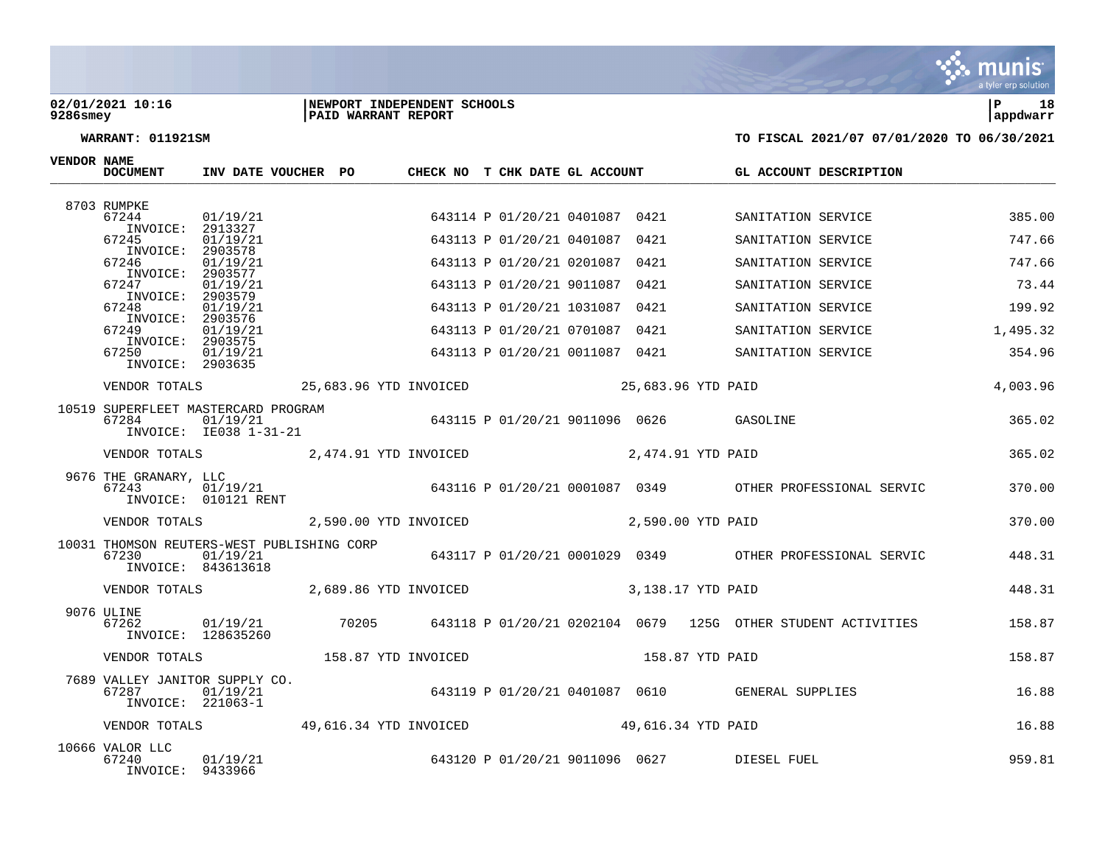### **02/01/2021 10:16 |NEWPORT INDEPENDENT SCHOOLS |P 18 9286smey |PAID WARRANT REPORT |appdwarr**



| <b>VENDOR NAME</b> | DOCUMENT                                      | INV DATE VOUCHER PO                                                          |  | CHECK NO T CHK DATE GL ACCOUNT |                                |      |                 | GL ACCOUNT DESCRIPTION                                                                 |          |
|--------------------|-----------------------------------------------|------------------------------------------------------------------------------|--|--------------------------------|--------------------------------|------|-----------------|----------------------------------------------------------------------------------------|----------|
|                    | 8703 RUMPKE                                   |                                                                              |  |                                |                                |      |                 |                                                                                        |          |
|                    | 67244<br>INVOICE: 2913327                     | 01/19/21                                                                     |  |                                | 643114 P 01/20/21 0401087 0421 |      |                 | SANITATION SERVICE                                                                     | 385.00   |
|                    | 67245<br>INVOICE:                             | 01/19/21<br>2903578                                                          |  |                                | 643113 P 01/20/21 0401087 0421 |      |                 | SANITATION SERVICE                                                                     | 747.66   |
|                    | 67246                                         | 01/19/21                                                                     |  |                                | 643113 P 01/20/21 0201087 0421 |      |                 | SANITATION SERVICE                                                                     | 747.66   |
|                    | INVOICE: 2903577<br>67247                     | 01/19/21                                                                     |  |                                | 643113 P 01/20/21 9011087      | 0421 |                 | SANITATION SERVICE                                                                     | 73.44    |
|                    | INVOICE: 2903579<br>67248                     | 01/19/21                                                                     |  |                                | 643113 P 01/20/21 1031087 0421 |      |                 | SANITATION SERVICE                                                                     | 199.92   |
|                    | INVOICE: 2903576<br>67249                     | 01/19/21                                                                     |  |                                | 643113 P 01/20/21 0701087 0421 |      |                 | SANITATION SERVICE                                                                     | 1,495.32 |
|                    | INVOICE: 2903575<br>67250<br>INVOICE: 2903635 | 01/19/21                                                                     |  |                                | 643113 P 01/20/21 0011087 0421 |      |                 | SANITATION SERVICE                                                                     | 354.96   |
|                    |                                               |                                                                              |  |                                |                                |      |                 |                                                                                        | 4,003.96 |
|                    | 67284                                         | 10519 SUPERFLEET MASTERCARD PROGRAM                                          |  |                                |                                |      |                 |                                                                                        | 365.02   |
|                    |                                               | VENDOR TOTALS 2,474.91 YTD INVOICED 2,474.91 YTD PAID                        |  |                                |                                |      |                 |                                                                                        | 365.02   |
|                    | 9676 THE GRANARY, LLC<br>67243                | 01/19/21<br>010121 RENT<br>INVOICE: 010121 RENT                              |  |                                |                                |      |                 | 643116 P 01/20/21 0001087 0349 OTHER PROFESSIONAL SERVIC                               | 370.00   |
|                    |                                               |                                                                              |  |                                |                                |      |                 |                                                                                        | 370.00   |
|                    | 67230                                         | 10031 THOMSON REUTERS-WEST PUBLISHING CORP<br>01/19/21<br>INVOICE: 843613618 |  |                                |                                |      |                 | $643117 \text{ P} 01/20/21 \text{ } 0001029$ $0349$ OTHER PROFESSIONAL SERVIC $448.31$ |          |
|                    |                                               |                                                                              |  |                                |                                |      |                 |                                                                                        | 448.31   |
|                    | 9076 ULINE<br>67262                           | INVOICE: 128635260                                                           |  |                                |                                |      |                 | 01/19/21 70205 643118 P 01/20/21 0202104 0679 125G OTHER STUDENT ACTIVITIES            | 158.87   |
|                    | VENDOR TOTALS                                 | 158.87 YTD INVOICED                                                          |  |                                |                                |      | 158.87 YTD PAID |                                                                                        | 158.87   |
|                    |                                               |                                                                              |  |                                |                                |      |                 | 7689 VALLEY JANITOR SUPPLY CO.<br>643119 P 01/20/21 0401087 0610 GENERAL SUPPLIES      | 16.88    |
|                    |                                               | VENDOR TOTALS 49,616.34 YTD INVOICED 49,616.34 YTD PAID                      |  |                                |                                |      |                 |                                                                                        | 16.88    |
|                    | 10666 VALOR LLC<br>67240<br>INVOICE: 9433966  | 01/19/21                                                                     |  |                                |                                |      |                 | 643120 P 01/20/21 9011096 0627 DIESEL FUEL                                             | 959.81   |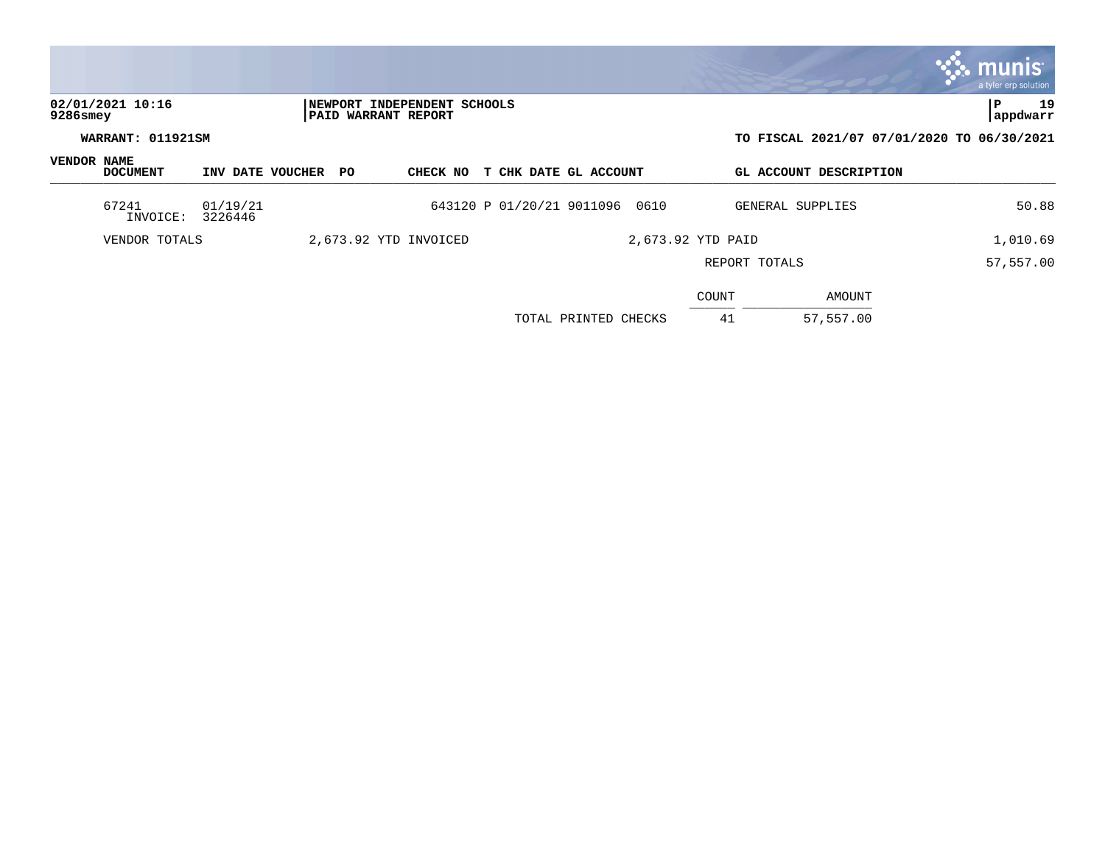|                                 |                     |                        |                            |                             |                                |                      |                   |                        | a tyler erp solution                       |
|---------------------------------|---------------------|------------------------|----------------------------|-----------------------------|--------------------------------|----------------------|-------------------|------------------------|--------------------------------------------|
| 02/01/2021 10:16<br>$9286$ smey |                     |                        | <b>PAID WARRANT REPORT</b> | NEWPORT INDEPENDENT SCHOOLS |                                |                      |                   |                        | lР<br>19<br>appdwarr                       |
| WARRANT: 011921SM               |                     |                        |                            |                             |                                |                      |                   |                        | TO FISCAL 2021/07 07/01/2020 TO 06/30/2021 |
| VENDOR NAME<br><b>DOCUMENT</b>  |                     | INV DATE VOUCHER<br>PO |                            | CHECK NO                    | T CHK DATE GL ACCOUNT          |                      |                   | GL ACCOUNT DESCRIPTION |                                            |
| 67241<br>INVOICE:               | 01/19/21<br>3226446 |                        |                            |                             | 643120 P 01/20/21 9011096 0610 |                      |                   | GENERAL SUPPLIES       | 50.88                                      |
| VENDOR TOTALS                   |                     |                        |                            | 2,673.92 YTD INVOICED       |                                |                      | 2,673.92 YTD PAID |                        | 1,010.69                                   |
|                                 |                     |                        |                            |                             |                                |                      | REPORT TOTALS     |                        | 57,557.00                                  |
|                                 |                     |                        |                            |                             |                                |                      | COUNT             | AMOUNT                 |                                            |
|                                 |                     |                        |                            |                             |                                | TOTAL PRINTED CHECKS | 41                | 57,557.00              |                                            |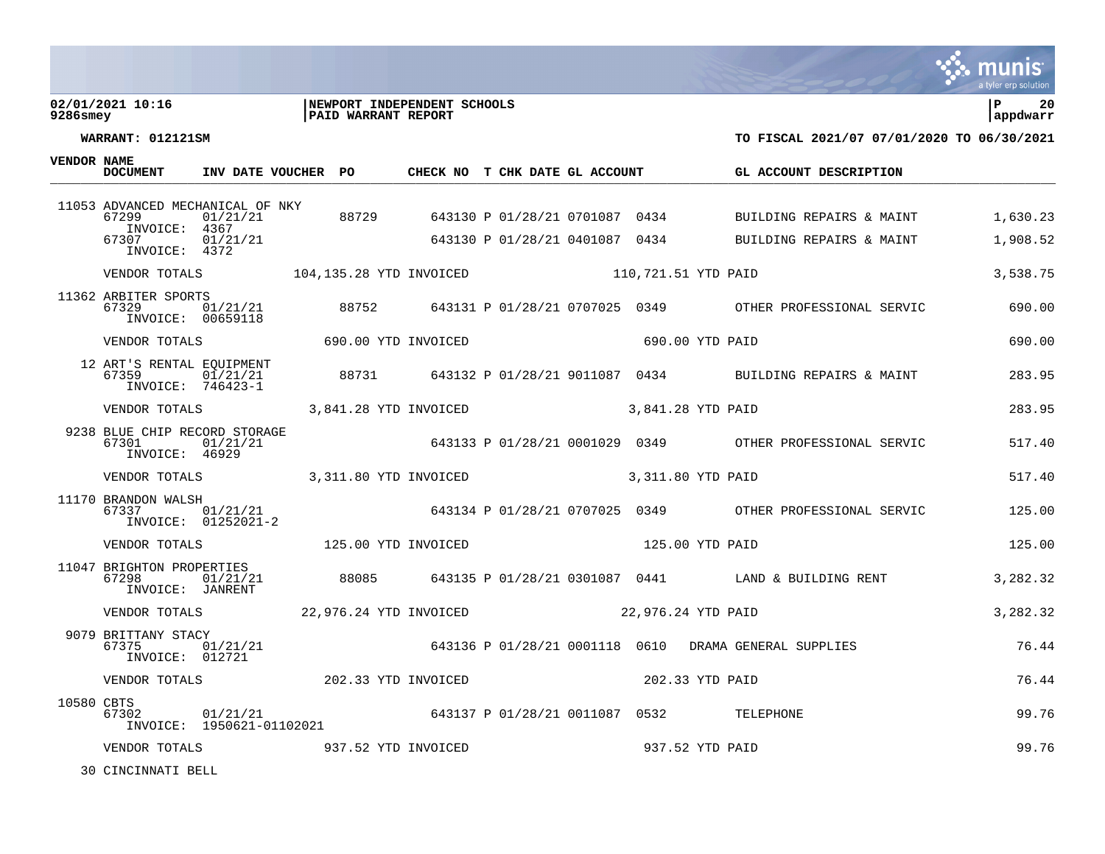### **02/01/2021 10:16 |NEWPORT INDEPENDENT SCHOOLS |P 20 9286smey |PAID WARRANT REPORT |appdwarr**



**WARRANT: 012121SM TO FISCAL 2021/07 07/01/2020 TO 06/30/2021**

| <b>VENDOR NAME</b> | <b>DOCUMENT</b>                                          | INV DATE VOUCHER PO                                     |  | CHECK NO T CHK DATE GL ACCOUNT |                   |                 | GL ACCOUNT DESCRIPTION                                                                          |          |
|--------------------|----------------------------------------------------------|---------------------------------------------------------|--|--------------------------------|-------------------|-----------------|-------------------------------------------------------------------------------------------------|----------|
|                    | 67299<br>INVOICE: 4367                                   | 11053 ADVANCED MECHANICAL OF NKY<br>01/21/21            |  |                                |                   |                 | NKY<br>88729        643130 P 01/28/21 0701087   0434                BUILDING  REPAIRS  &  MAINT | 1,630.23 |
|                    | 67307<br>INVOICE: 4372                                   | 01/21/21                                                |  |                                |                   |                 | 643130 P 01/28/21 0401087 0434 BUILDING REPAIRS & MAINT                                         | 1,908.52 |
|                    |                                                          |                                                         |  |                                |                   |                 |                                                                                                 | 3,538.75 |
|                    | 11362 ARBITER SPORTS<br>67329<br>INVOICE: 00659118       |                                                         |  |                                |                   |                 | 01/21/21 88752 643131 P 01/28/21 0707025 0349 OTHER PROFESSIONAL SERVIC 690.00                  |          |
|                    | VENDOR TOTALS                                            | 690.00 YTD INVOICED                                     |  |                                |                   | 690.00 YTD PAID |                                                                                                 | 690.00   |
|                    |                                                          |                                                         |  |                                |                   |                 |                                                                                                 | 283.95   |
|                    | VENDOR TOTALS                                            | 3,841.28 YTD INVOICED                                   |  |                                | 3,841.28 YTD PAID |                 |                                                                                                 | 283.95   |
|                    | 9238 BLUE CHIP RECORD STORAGE<br>67301<br>INVOICE: 46929 | 01/21/21                                                |  |                                |                   |                 | 643133 P 01/28/21 0001029 0349 OTHER PROFESSIONAL SERVIC                                        | 517.40   |
|                    |                                                          |                                                         |  |                                |                   |                 |                                                                                                 | 517.40   |
|                    | 11170 BRANDON WALSH<br>67337                             | 01/21/21<br>01252021-2<br>INVOICE: 01252021-2           |  |                                |                   |                 | 643134 P 01/28/21 0707025 0349 OTHER PROFESSIONAL SERVIC                                        | 125.00   |
|                    |                                                          |                                                         |  |                                |                   |                 |                                                                                                 | 125.00   |
|                    | 11047 BRIGHTON PROPERTIES<br>67298<br>INVOICE: JANRENT   | 01/21/21                                                |  |                                |                   |                 | 88085 643135 P 01/28/21 0301087 0441 LAND & BUILDING RENT                                       | 3,282.32 |
|                    |                                                          | VENDOR TOTALS 22,976.24 YTD INVOICED 22,976.24 YTD PAID |  |                                |                   |                 |                                                                                                 | 3,282.32 |
|                    | 9079 BRITTANY STACY<br>67375<br>INVOICE: 012721          |                                                         |  |                                |                   |                 |                                                                                                 | 76.44    |
|                    |                                                          | VENDOR TOTALS 202.33 YTD INVOICED                       |  |                                |                   | 202.33 YTD PAID |                                                                                                 | 76.44    |
| 10580 CBTS         | 67302                                                    | 01/21/21<br>INVOICE: 1950621-01102021                   |  |                                |                   |                 | 643137 P 01/28/21 0011087 0532 TELEPHONE                                                        | 99.76    |
|                    | VENDOR TOTALS                                            | 937.52 YTD INVOICED                                     |  |                                |                   | 937.52 YTD PAID |                                                                                                 | 99.76    |

30 CINCINNATI BELL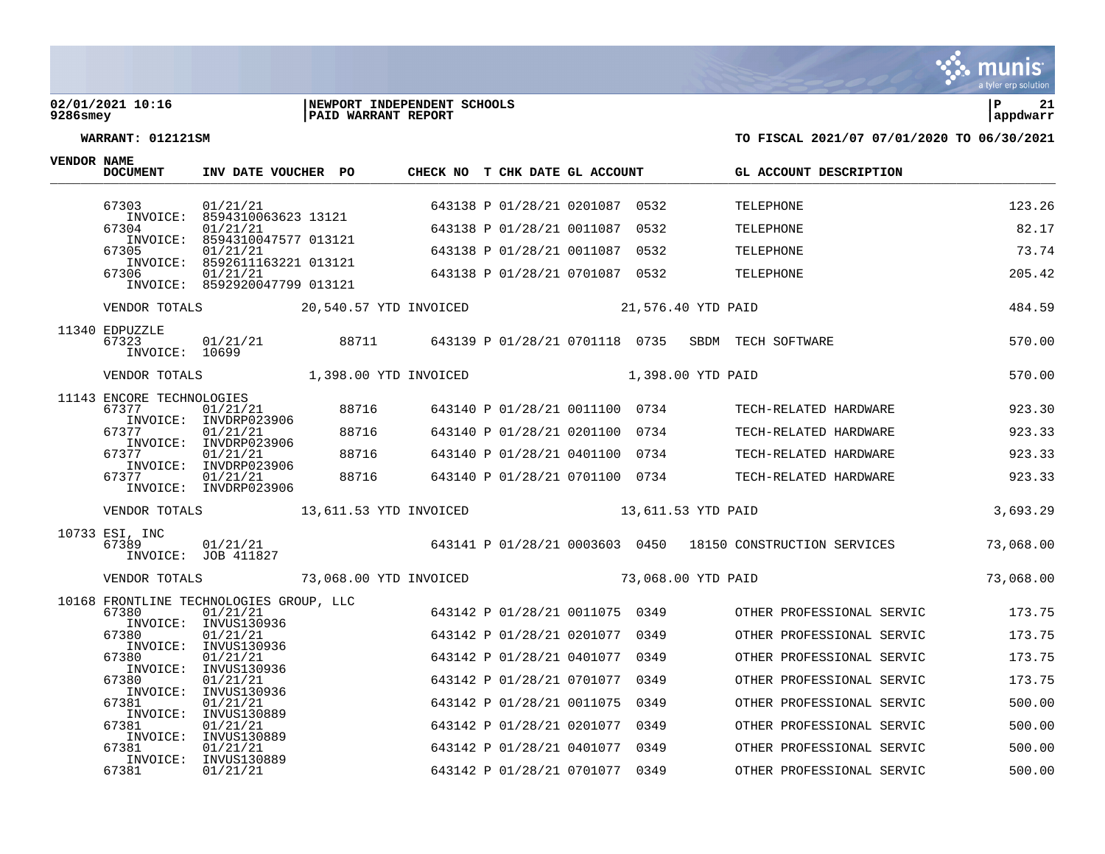

### **02/01/2021 10:16 |NEWPORT INDEPENDENT SCHOOLS |P 21 9286smey |PAID WARRANT REPORT |appdwarr**



| <b>VENDOR NAME</b> | <b>DOCUMENT</b>                           | INV DATE VOUCHER PO                                                         |       | CHECK NO T CHK DATE GL ACCOUNT       |                                |      |                    | GL ACCOUNT DESCRIPTION                                     |           |
|--------------------|-------------------------------------------|-----------------------------------------------------------------------------|-------|--------------------------------------|--------------------------------|------|--------------------|------------------------------------------------------------|-----------|
|                    | 67303<br>INVOICE:                         | 01/21/21<br>8594310063623 13121                                             |       |                                      | 643138 P 01/28/21 0201087 0532 |      |                    | TELEPHONE                                                  | 123.26    |
|                    | 67304                                     | 01/21/21                                                                    |       |                                      | 643138 P 01/28/21 0011087 0532 |      |                    | TELEPHONE                                                  | 82.17     |
|                    | 67305                                     | INVOICE: 8594310047577 013121<br>01/21/21                                   |       |                                      | 643138 P 01/28/21 0011087 0532 |      |                    | <b>TELEPHONE</b>                                           | 73.74     |
|                    | 67306                                     | INVOICE: 8592611163221 013121<br>01/21/21<br>INVOICE: 8592920047799 013121  |       |                                      | 643138 P 01/28/21 0701087 0532 |      |                    | TELEPHONE                                                  | 205.42    |
|                    |                                           |                                                                             |       | VENDOR TOTALS 20,540.57 YTD INVOICED |                                |      | 21,576.40 YTD PAID |                                                            | 484.59    |
|                    | 11340 EDPUZZLE<br>67323<br>INVOICE: 10699 | 01/21/21                                                                    | 88711 |                                      |                                |      |                    | 643139 P 01/28/21 0701118 0735 SBDM TECH SOFTWARE          | 570.00    |
|                    | VENDOR TOTALS                             |                                                                             |       | 1,398.00 YTD INVOICED                |                                |      | 1,398.00 YTD PAID  |                                                            | 570.00    |
|                    | 11143 ENCORE TECHNOLOGIES<br>67377        | 01/21/21                                                                    | 88716 |                                      | 643140 P 01/28/21 0011100 0734 |      |                    | TECH-RELATED HARDWARE                                      | 923.30    |
|                    | 67377                                     | INVOICE: INVDRP023906<br>01/21/21                                           | 88716 |                                      | 643140 P 01/28/21 0201100 0734 |      |                    | TECH-RELATED HARDWARE                                      | 923.33    |
|                    | 67377                                     | INVOICE: INVDRP023906<br>01/21/21                                           | 88716 |                                      | 643140 P 01/28/21 0401100 0734 |      |                    | TECH-RELATED HARDWARE                                      | 923.33    |
|                    | 67377                                     | INVOICE: INVDRP023906<br>01/21/21<br>INVOICE: INVDRP023906                  | 88716 |                                      | 643140 P 01/28/21 0701100 0734 |      |                    | TECH-RELATED HARDWARE                                      | 923.33    |
|                    |                                           | VENDOR TOTALS                                                               |       | 13,611.53 YTD INVOICED               |                                |      | 13,611.53 YTD PAID |                                                            | 3,693.29  |
|                    | 10733 ESI, INC<br>67389                   | 01/21/21<br>INVOICE: JOB 411827                                             |       |                                      |                                |      |                    | 643141 P 01/28/21 0003603 0450 18150 CONSTRUCTION SERVICES | 73,068.00 |
|                    | VENDOR TOTALS                             |                                                                             |       | 73,068.00 YTD INVOICED               |                                |      | 73,068.00 YTD PAID |                                                            | 73,068.00 |
|                    | 67380                                     | 10168 FRONTLINE TECHNOLOGIES GROUP, LLC<br>01/21/21<br>INVOICE: INVUS130936 |       |                                      | 643142 P 01/28/21 0011075 0349 |      |                    | OTHER PROFESSIONAL SERVIC                                  | 173.75    |
|                    | 67380                                     | 01/21/21                                                                    |       |                                      | 643142 P 01/28/21 0201077 0349 |      |                    | OTHER PROFESSIONAL SERVIC                                  | 173.75    |
|                    | INVOICE:<br>67380                         | INVUS130936<br>01/21/21                                                     |       |                                      | 643142 P 01/28/21 0401077 0349 |      |                    | OTHER PROFESSIONAL SERVIC                                  | 173.75    |
|                    | 67380                                     | INVOICE: INVUS130936<br>01/21/21                                            |       |                                      | 643142 P 01/28/21 0701077 0349 |      |                    | OTHER PROFESSIONAL SERVIC                                  | 173.75    |
|                    | 67381                                     | INVOICE: INVUS130936<br>01/21/21                                            |       |                                      | 643142 P 01/28/21 0011075      | 0349 |                    | OTHER PROFESSIONAL SERVIC                                  | 500.00    |
|                    | 67381                                     | INVOICE: INVUS130889<br>01/21/21                                            |       |                                      | 643142 P 01/28/21 0201077 0349 |      |                    | OTHER PROFESSIONAL SERVIC                                  | 500.00    |
|                    | 67381                                     | INVOICE: INVUS130889<br>01/21/21                                            |       |                                      | 643142 P 01/28/21 0401077 0349 |      |                    | OTHER PROFESSIONAL SERVIC                                  | 500.00    |
|                    | INVOICE:<br>67381                         | INVUS130889<br>01/21/21                                                     |       |                                      | 643142 P 01/28/21 0701077      | 0349 |                    | OTHER PROFESSIONAL SERVIC                                  | 500.00    |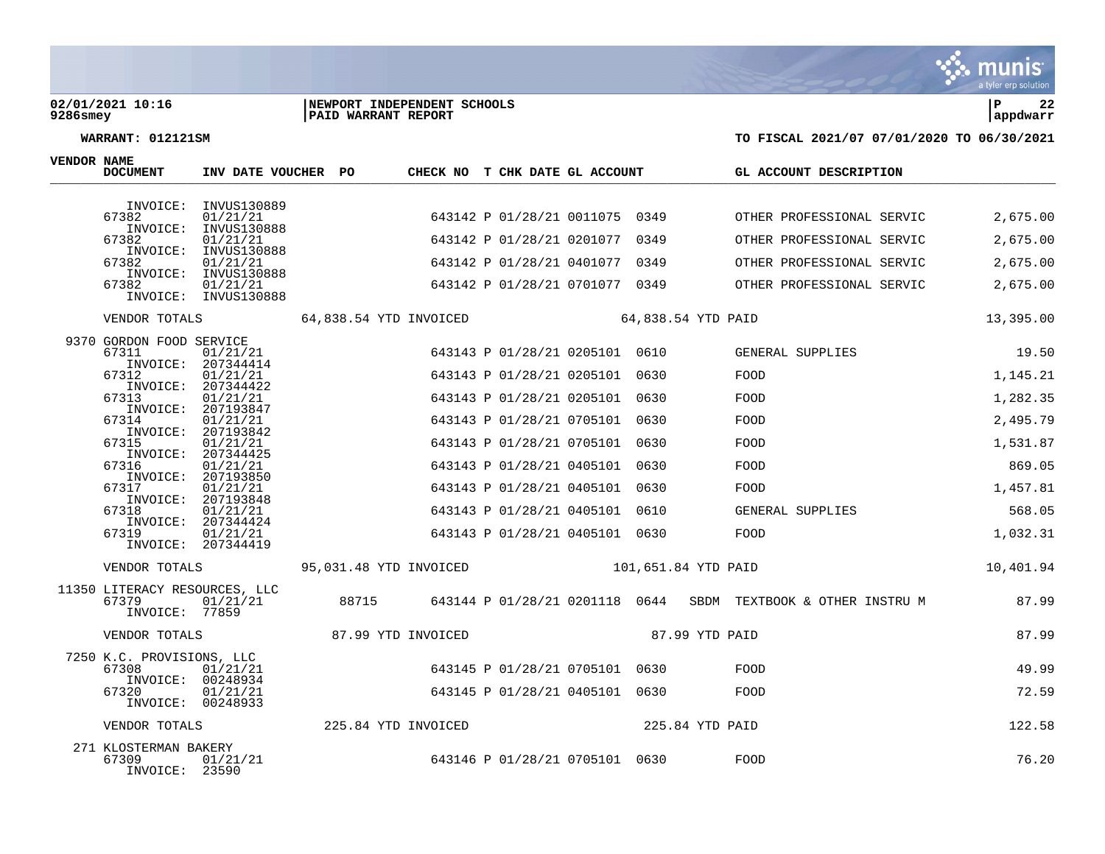### **02/01/2021 10:16 |NEWPORT INDEPENDENT SCHOOLS |P 22 9286smey |PAID WARRANT REPORT |appdwarr**



| <b>VENDOR NAME</b> | <b>DOCUMENT</b>                                                                                                                                           | INV DATE VOUCHER PO                                                                                                                                                                                                                                                        |                        |                     | CHECK NO T CHK DATE GL ACCOUNT                                                                                                                                                                                                                                                                            |      | GL ACCOUNT DESCRIPTION                                                                                           |                                                                                                   |
|--------------------|-----------------------------------------------------------------------------------------------------------------------------------------------------------|----------------------------------------------------------------------------------------------------------------------------------------------------------------------------------------------------------------------------------------------------------------------------|------------------------|---------------------|-----------------------------------------------------------------------------------------------------------------------------------------------------------------------------------------------------------------------------------------------------------------------------------------------------------|------|------------------------------------------------------------------------------------------------------------------|---------------------------------------------------------------------------------------------------|
|                    | 67382<br>67382<br>67382<br>67382                                                                                                                          | INVOICE: INVUS130889<br>01/21/21<br>INVOICE: INVUS130888<br>01/21/21<br>INVOICE: INVUS130888<br>01/21/21<br>INVOICE: INVUS130888<br>01/21/21<br>INVOICE: INVUS130888                                                                                                       |                        |                     | 643142 P 01/28/21 0011075 0349<br>643142 P 01/28/21 0201077 0349<br>643142 P 01/28/21 0401077 0349<br>643142 P 01/28/21 0701077 0349                                                                                                                                                                      |      | OTHER PROFESSIONAL SERVIC<br>OTHER PROFESSIONAL SERVIC<br>OTHER PROFESSIONAL SERVIC<br>OTHER PROFESSIONAL SERVIC | 2,675.00<br>2,675.00<br>2,675.00<br>2,675.00                                                      |
|                    | VENDOR TOTALS                                                                                                                                             |                                                                                                                                                                                                                                                                            | 64,838.54 YTD INVOICED |                     |                                                                                                                                                                                                                                                                                                           |      | 64,838.54 YTD PAID                                                                                               | 13,395.00                                                                                         |
|                    | 9370 GORDON FOOD SERVICE<br>67311<br>67312<br>INVOICE:<br>67313<br>67314<br>INVOICE:<br>67315<br>67316<br>67317<br>INVOICE:<br>67318<br>INVOICE:<br>67319 | 01/21/21<br>INVOICE: 207344414<br>01/21/21<br>207344422<br>01/21/21<br>INVOICE: 207193847<br>01/21/21<br>207193842<br>01/21/21<br>INVOICE: 207344425<br>01/21/21<br>INVOICE: 207193850<br>01/21/21<br>207193848<br>01/21/21<br>207344424<br>01/21/21<br>INVOICE: 207344419 |                        |                     | 643143 P 01/28/21 0205101 0610<br>643143 P 01/28/21 0205101 0630<br>643143 P 01/28/21 0205101 0630<br>643143 P 01/28/21 0705101 0630<br>643143 P 01/28/21 0705101<br>643143 P 01/28/21 0405101 0630<br>643143 P 01/28/21 0405101 0630<br>643143 P 01/28/21 0405101 0610<br>643143 P 01/28/21 0405101 0630 | 0630 | GENERAL SUPPLIES<br>FOOD<br>FOOD<br>FOOD<br>FOOD<br>FOOD<br>FOOD<br>GENERAL SUPPLIES<br>FOOD                     | 19.50<br>1,145.21<br>1,282.35<br>2,495.79<br>1,531.87<br>869.05<br>1,457.81<br>568.05<br>1,032.31 |
|                    | VENDOR TOTALS                                                                                                                                             |                                                                                                                                                                                                                                                                            | 95,031.48 YTD INVOICED |                     |                                                                                                                                                                                                                                                                                                           |      | 101,651.84 YTD PAID                                                                                              | 10,401.94                                                                                         |
|                    | 11350 LITERACY RESOURCES, LLC<br>67379<br>INVOICE: 77859                                                                                                  | 01/21/21                                                                                                                                                                                                                                                                   | 88715                  |                     |                                                                                                                                                                                                                                                                                                           |      | 643144 P 01/28/21 0201118 0644 SBDM TEXTBOOK & OTHER INSTRU M                                                    | 87.99                                                                                             |
|                    | VENDOR TOTALS                                                                                                                                             |                                                                                                                                                                                                                                                                            |                        | 87.99 YTD INVOICED  |                                                                                                                                                                                                                                                                                                           |      | 87.99 YTD PAID                                                                                                   | 87.99                                                                                             |
|                    | 7250 K.C. PROVISIONS, LLC<br>67308<br>INVOICE: 00248934<br>67320<br>INVOICE: 00248933                                                                     | 01/21/21<br>01/21/21                                                                                                                                                                                                                                                       |                        |                     | 643145 P 01/28/21 0705101 0630<br>643145 P 01/28/21 0405101 0630                                                                                                                                                                                                                                          |      | FOOD<br>FOOD                                                                                                     | 49.99<br>72.59                                                                                    |
|                    | VENDOR TOTALS                                                                                                                                             |                                                                                                                                                                                                                                                                            |                        | 225.84 YTD INVOICED |                                                                                                                                                                                                                                                                                                           |      | 225.84 YTD PAID                                                                                                  | 122.58                                                                                            |
|                    | 271 KLOSTERMAN BAKERY<br>67309<br>INVOICE: 23590                                                                                                          | 01/21/21                                                                                                                                                                                                                                                                   |                        |                     | 643146 P 01/28/21 0705101 0630                                                                                                                                                                                                                                                                            |      | FOOD                                                                                                             | 76.20                                                                                             |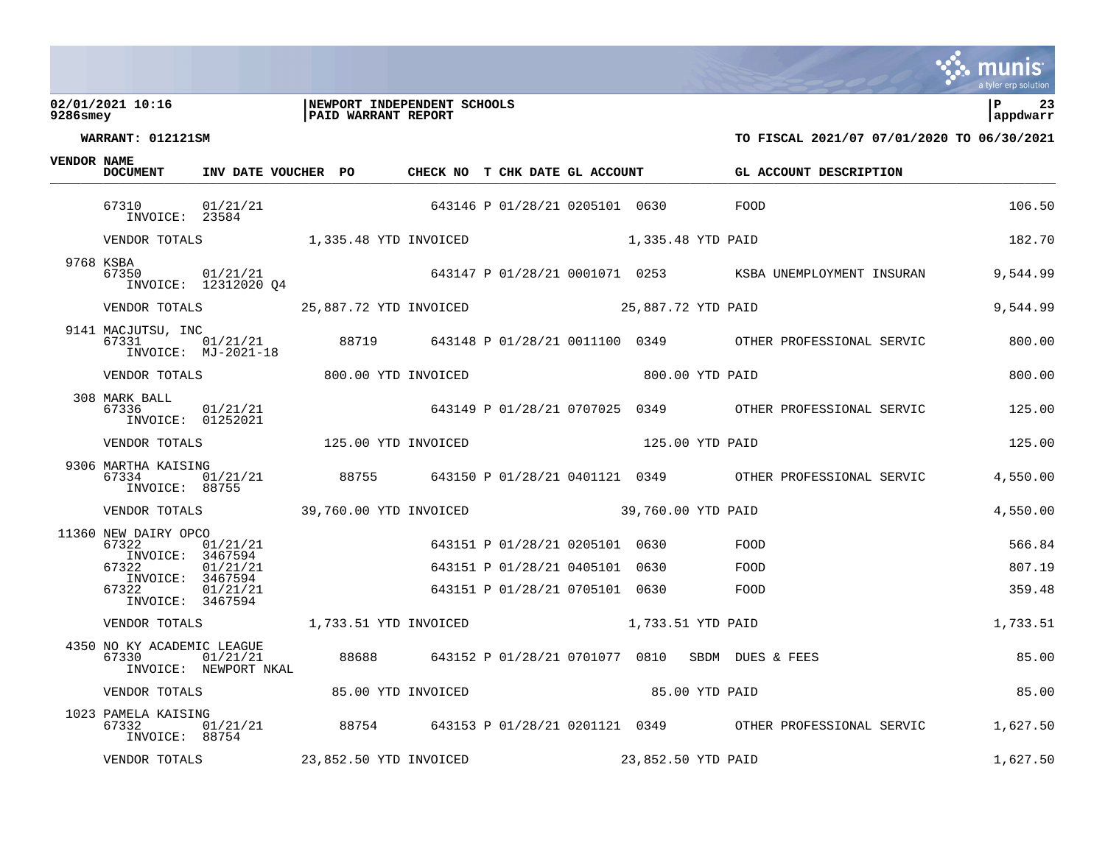### **02/01/2021 10:16 |NEWPORT INDEPENDENT SCHOOLS |P 23 9286smey |PAID WARRANT REPORT |appdwarr**



| <b>VENDOR NAME</b> | <b>DOCUMENT</b>                                            | INV DATE VOUCHER PO                                   |       | CHECK NO T CHK DATE GL ACCOUNT |                                                                  |                    | GL ACCOUNT DESCRIPTION                                                                     |                  |
|--------------------|------------------------------------------------------------|-------------------------------------------------------|-------|--------------------------------|------------------------------------------------------------------|--------------------|--------------------------------------------------------------------------------------------|------------------|
|                    | 67310<br>INVOICE: 23584                                    | 01/21/21                                              |       | 643146 P 01/28/21 0205101 0630 |                                                                  |                    | <b>EOOD</b>                                                                                | 106.50           |
|                    |                                                            | VENDOR TOTALS 1,335.48 YTD INVOICED 1,335.48 YTD PAID |       |                                |                                                                  |                    |                                                                                            | 182.70           |
|                    | 9768 KSBA<br>67350                                         | INVOICE: 12312020 04                                  |       |                                |                                                                  |                    | 01/21/21 643147 P 01/28/21 0001071 0253 KSBA UNEMPLOYMENT INSURAN                          | 9,544.99         |
|                    |                                                            |                                                       |       |                                |                                                                  |                    |                                                                                            | 9,544.99         |
|                    | 9141 MACJUTSU, INC<br>67331                                | $INVOICE: MJ-2021-18$                                 |       |                                |                                                                  |                    | _<br>01/21/21      88719     643148 P 01/28/21 0011100 0349      OTHER PROFESSIONAL SERVIC | 800.00           |
|                    | VENDOR TOTALS                                              |                                                       |       | 800.00 YTD INVOICED            |                                                                  | 800.00 YTD PAID    |                                                                                            | 800.00           |
|                    | 308 MARK BALL<br>67336<br>INVOICE: 01252021                | 01/21/21                                              |       |                                |                                                                  |                    | 643149 P 01/28/21 0707025 0349 OTHER PROFESSIONAL SERVIC                                   | 125.00           |
|                    | VENDOR TOTALS                                              | 125.00 YTD INVOICED                                   |       |                                |                                                                  | 125.00 YTD PAID    |                                                                                            | 125.00           |
|                    | 9306 MARTHA KAISING<br>67334<br>INVOICE: 88755             | 01/21/21                                              | 88755 |                                |                                                                  |                    | 643150 P 01/28/21 0401121 0349 OTHER PROFESSIONAL SERVIC                                   | 4,550.00         |
|                    |                                                            | VENDOR TOTALS 39,760.00 YTD INVOICED                  |       |                                |                                                                  | 39,760.00 YTD PAID |                                                                                            | 4,550.00         |
|                    | 11360 NEW DAIRY OPCO<br>67322<br>INVOICE: 3467594<br>67322 | 01/21/21<br>01/21/21                                  |       |                                | 643151 P 01/28/21 0205101 0630<br>643151 P 01/28/21 0405101 0630 |                    | FOOD<br>FOOD                                                                               | 566.84<br>807.19 |
|                    | INVOICE: 3467594<br>67322                                  |                                                       |       |                                |                                                                  |                    | FOOD                                                                                       |                  |
|                    | INVOICE: 3467594                                           | 01/21/21                                              |       |                                | 643151 P 01/28/21 0705101 0630                                   |                    |                                                                                            | 359.48           |
|                    | VENDOR TOTALS                                              | 1,733.51 YTD INVOICED                                 |       |                                |                                                                  | 1,733.51 YTD PAID  |                                                                                            | 1,733.51         |
|                    | 4350 NO KY ACADEMIC LEAGUE<br>67330                        | 01/21/21<br>INVOICE: NEWPORT NKAL                     |       |                                |                                                                  |                    | 88688 643152 P 01/28/21 0701077 0810 SBDM DUES & FEES                                      | 85.00            |
|                    |                                                            | VENDOR TOTALS                                         |       | 85.00 YTD INVOICED             | 85.00 YTD PAID                                                   |                    |                                                                                            | 85.00            |
|                    | 1023 PAMELA KAISING<br>67332<br>INVOICE: 88754             | 01/21/21                                              |       |                                |                                                                  |                    | 88754 643153 P 01/28/21 0201121 0349 OTHER PROFESSIONAL SERVIC                             | 1,627.50         |
|                    | VENDOR TOTALS                                              |                                                       |       | 23,852.50 YTD INVOICED         |                                                                  | 23,852.50 YTD PAID |                                                                                            | 1,627.50         |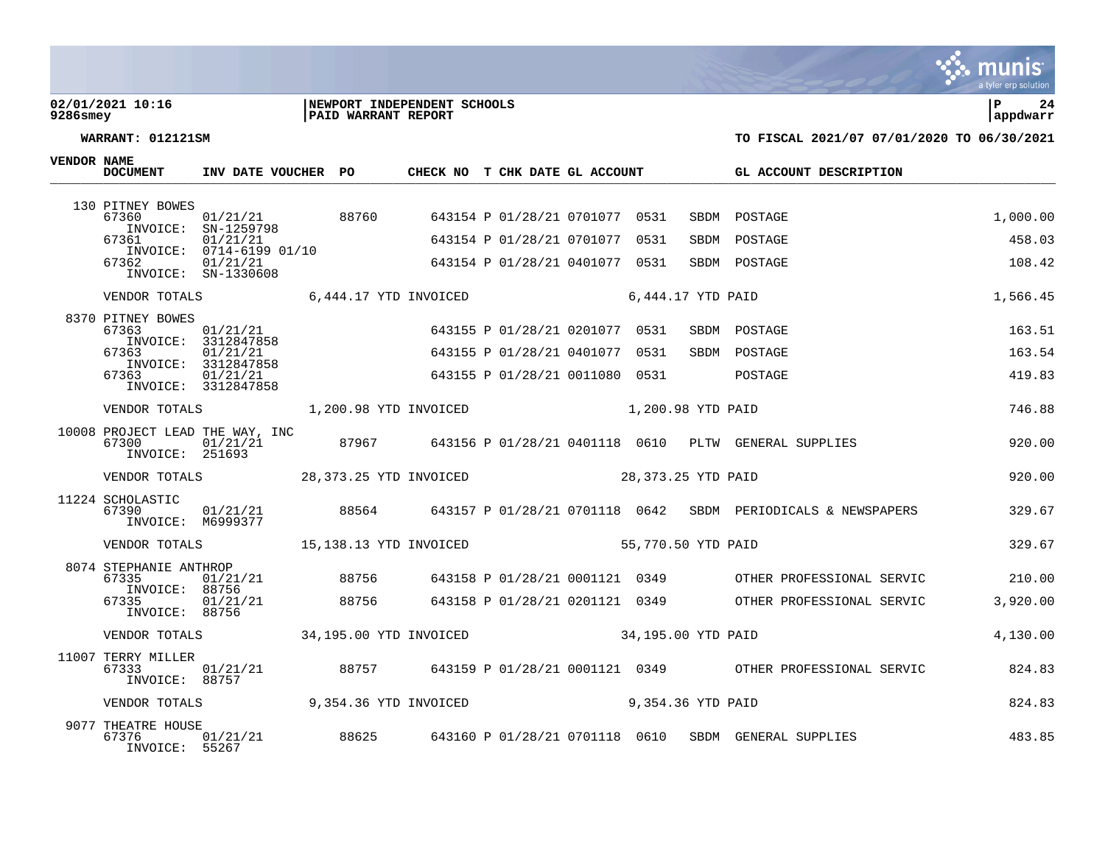**VENDOR NAME**

### **02/01/2021 10:16 |NEWPORT INDEPENDENT SCHOOLS |P 24 9286smey |PAID WARRANT REPORT |appdwarr**



| <b>DOCUMENT</b>                                   | INV DATE VOUCHER PO                                         |       | CHECK NO T CHK DATE GL ACCOUNT |  |                                |                   | GL ACCOUNT DESCRIPTION                                             |          |
|---------------------------------------------------|-------------------------------------------------------------|-------|--------------------------------|--|--------------------------------|-------------------|--------------------------------------------------------------------|----------|
| 130 PITNEY BOWES<br>67360                         | 01/21/21                                                    | 88760 |                                |  | 643154 P 01/28/21 0701077 0531 | SBDM              | POSTAGE                                                            | 1,000.00 |
| INVOICE:<br>67361                                 | SN-1259798<br>01/21/21                                      |       |                                |  | 643154 P 01/28/21 0701077 0531 | SBDM              | POSTAGE                                                            | 458.03   |
| 67362                                             | INVOICE: 0714-6199 01/10<br>01/21/21<br>INVOICE: SN-1330608 |       |                                |  | 643154 P 01/28/21 0401077 0531 |                   | SBDM POSTAGE                                                       | 108.42   |
|                                                   | VENDOR TOTALS 6.444.17 YTD INVOICED                         |       |                                |  |                                | 6,444.17 YTD PAID |                                                                    | 1,566.45 |
| 8370 PITNEY BOWES<br>67363                        | 01/21/21<br>INVOICE: 3312847858                             |       |                                |  | 643155 P 01/28/21 0201077 0531 | SBDM              | POSTAGE                                                            | 163.51   |
| 67363                                             | 01/21/21<br>INVOICE: 3312847858                             |       |                                |  | 643155 P 01/28/21 0401077 0531 | SBDM              | POSTAGE                                                            | 163.54   |
| 67363                                             | 01/21/21<br>INVOICE: 3312847858                             |       |                                |  | 643155 P 01/28/21 0011080 0531 |                   | POSTAGE                                                            | 419.83   |
| VENDOR TOTALS                                     | 1,200.98 YTD INVOICED 1,200.98 YTD PAID                     |       |                                |  |                                |                   |                                                                    | 746.88   |
| 67300<br>INVOICE: 251693                          | 10008 PROJECT LEAD THE WAY, INC<br>01/21/21                 |       |                                |  |                                |                   | 87967 643156 P 01/28/21 0401118 0610 PLTW GENERAL SUPPLIES         | 920.00   |
| VENDOR TOTALS                                     | 28,373.25 YTD INVOICED                                      |       |                                |  | 28,373.25 YTD PAID             |                   |                                                                    | 920.00   |
| 11224 SCHOLASTIC<br>67390<br>INVOICE: M6999377    | 01/21/21                                                    |       |                                |  |                                |                   | 88564 643157 P 01/28/21 0701118 0642 SBDM PERIODICALS & NEWSPAPERS | 329.67   |
|                                                   |                                                             |       |                                |  |                                |                   |                                                                    | 329.67   |
| 8074 STEPHANIE ANTHROP<br>67335<br>INVOICE: 88756 | 01/21/21                                                    | 88756 |                                |  |                                |                   | 643158 P 01/28/21 0001121 0349 OTHER PROFESSIONAL SERVIC           | 210.00   |
| 67335<br>INVOICE: 88756                           | 01/21/21                                                    | 88756 |                                |  |                                |                   | 643158 P 01/28/21 0201121 0349 OTHER PROFESSIONAL SERVIC           | 3,920.00 |
|                                                   | VENDOR TOTALS 34,195.00 YTD INVOICED 34,195.00 YTD PAID     |       |                                |  |                                |                   |                                                                    | 4,130.00 |
| 11007 TERRY MILLER<br>67333<br>INVOICE: 88757     | 01/21/21                                                    |       |                                |  |                                |                   | 88757 643159 P 01/28/21 0001121 0349 OTHER PROFESSIONAL SERVIC     | 824.83   |
|                                                   | VENDOR TOTALS 9,354.36 YTD INVOICED                         |       |                                |  | 9,354.36 YTD PAID              |                   |                                                                    | 824.83   |
| 9077 THEATRE HOUSE<br>67376<br>INVOICE: 55267     | 01/21/21                                                    | 88625 |                                |  | 643160 P 01/28/21 0701118 0610 |                   | SBDM GENERAL SUPPLIES                                              | 483.85   |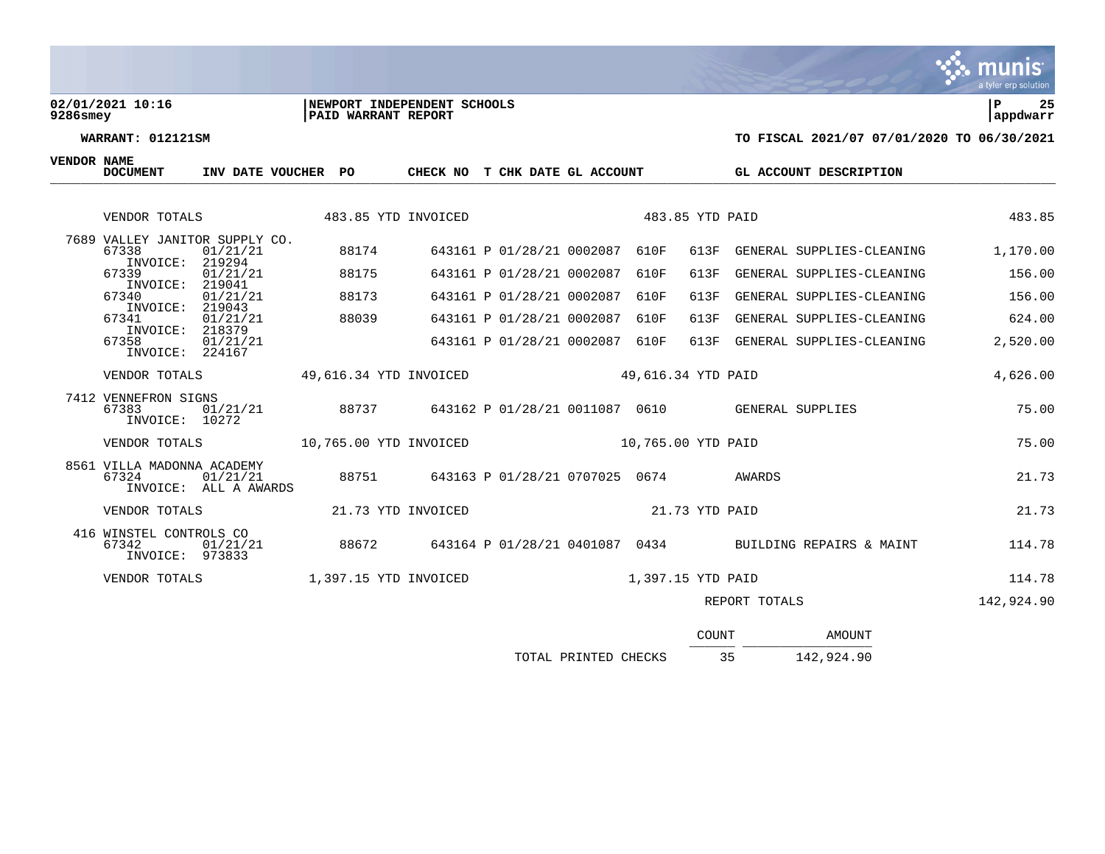# **02/01/2021 10:16 |NEWPORT INDEPENDENT SCHOOLS |P 25**

| 9286smey | <b>PAID WARRANT REPORT</b> | lappdwarr |
|----------|----------------------------|-----------|
|          |                            |           |

munis a tyler erp solution

| <b>DOCUMENT</b>                                     | INV DATE VOUCHER PO               |                        | CHECK NO T CHK DATE GL ACCOUNT |                                |                    |                    | GL ACCOUNT DESCRIPTION                                  |            |
|-----------------------------------------------------|-----------------------------------|------------------------|--------------------------------|--------------------------------|--------------------|--------------------|---------------------------------------------------------|------------|
| VENDOR TOTALS                                       |                                   | 483.85 YTD INVOICED    |                                |                                |                    | 483.85 YTD PAID    |                                                         | 483.85     |
| 7689 VALLEY JANITOR SUPPLY CO.<br>67338             | 01/21/21                          | 88174                  |                                | 643161 P 01/28/21 0002087      | 610F               | 613F               | GENERAL SUPPLIES-CLEANING                               | 1,170.00   |
| INVOICE:<br>67339                                   | 219294<br>01/21/21                | 88175                  |                                | 643161 P 01/28/21 0002087      | 610F               | 613F               | GENERAL SUPPLIES-CLEANING                               | 156.00     |
| INVOICE:<br>67340                                   | 219041<br>01/21/21                | 88173                  |                                | 643161 P 01/28/21 0002087      | 610F               | 613F               | GENERAL SUPPLIES-CLEANING                               | 156.00     |
| INVOICE: 219043<br>67341                            | 01/21/21                          | 88039                  |                                | 643161 P 01/28/21 0002087      | 610F               | 613F               | GENERAL SUPPLIES-CLEANING                               | 624.00     |
| INVOICE: 218379<br>67358<br>INVOICE: 224167         | 01/21/21                          |                        |                                | 643161 P 01/28/21 0002087      | 610F               |                    | 613F GENERAL SUPPLIES-CLEANING                          | 2,520.00   |
| VENDOR TOTALS                                       |                                   | 49,616.34 YTD INVOICED |                                |                                | 49,616.34 YTD PAID | 4,626.00           |                                                         |            |
| 7412 VENNEFRON SIGNS<br>67383<br>INVOICE: 10272     | 01/21/21                          | 88737                  |                                |                                |                    |                    | 643162 P 01/28/21 0011087 0610 GENERAL SUPPLIES         | 75.00      |
| VENDOR TOTALS                                       |                                   | 10,765.00 YTD INVOICED |                                |                                |                    | 10,765.00 YTD PAID |                                                         | 75.00      |
| 8561 VILLA MADONNA ACADEMY<br>67324                 | 01/21/21<br>INVOICE: ALL A AWARDS | 88751                  |                                | 643163 P 01/28/21 0707025 0674 |                    |                    | AWARDS                                                  | 21.73      |
| VENDOR TOTALS                                       |                                   |                        | 21.73 YTD INVOICED             |                                |                    | 21.73 YTD PAID     |                                                         | 21.73      |
| 416 WINSTEL CONTROLS CO<br>67342<br>INVOICE: 973833 | 01/21/21                          | 88672                  |                                |                                |                    |                    | 643164 P 01/28/21 0401087 0434 BUILDING REPAIRS & MAINT | 114.78     |
| VENDOR TOTALS                                       |                                   | 1,397.15 YTD INVOICED  |                                |                                |                    | 1,397.15 YTD PAID  |                                                         | 114.78     |
|                                                     |                                   |                        |                                |                                |                    |                    | REPORT TOTALS                                           | 142,924.90 |
|                                                     |                                   |                        |                                |                                |                    | COUNT              | <b>AMOUNT</b>                                           |            |

| TOTAL PRINTED CHECKS |  |  | 142,924.90 |  |
|----------------------|--|--|------------|--|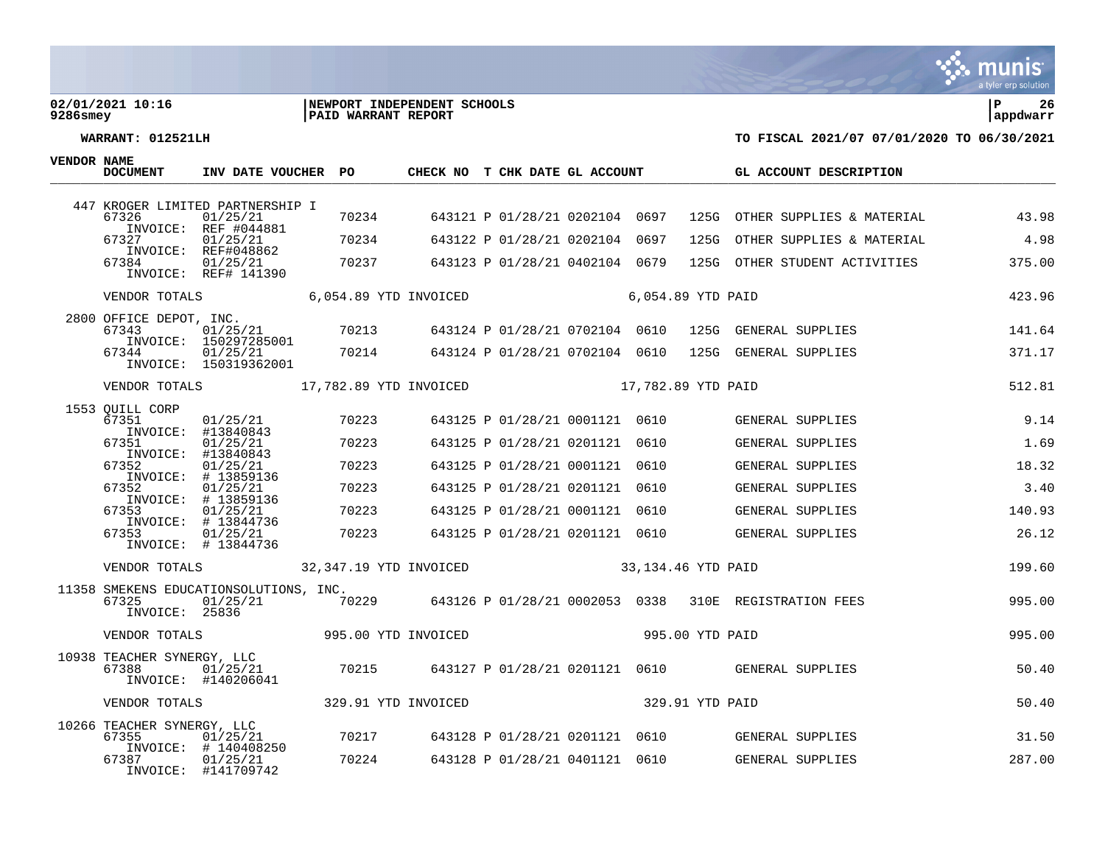### **02/01/2021 10:16 |NEWPORT INDEPENDENT SCHOOLS |P 26 9286smey |PAID WARRANT REPORT |appdwarr**



| VENDOR NAME | <b>DOCUMENT</b>                     | INV DATE VOUCHER PO                                        |                                      | CHECK NO T CHK DATE GL ACCOUNT       |                                |      |                    | GL ACCOUNT DESCRIPTION                                |        |
|-------------|-------------------------------------|------------------------------------------------------------|--------------------------------------|--------------------------------------|--------------------------------|------|--------------------|-------------------------------------------------------|--------|
|             |                                     | 447 KROGER LIMITED PARTNERSHIP I                           |                                      |                                      |                                |      |                    |                                                       |        |
|             | 67326                               | 01/25/21<br>INVOICE: REF #044881                           | 70234                                |                                      | 643121 P 01/28/21 0202104 0697 |      |                    | 125G OTHER SUPPLIES & MATERIAL                        | 43.98  |
|             | 67327<br>INVOICE:                   | 01/25/21<br>REF#048862                                     | 70234                                |                                      | 643122 P 01/28/21 0202104 0697 |      | 125G               | OTHER SUPPLIES & MATERIAL                             | 4.98   |
|             | 67384                               | 01/25/21<br>INVOICE: REF# 141390                           | 70237                                |                                      | 643123 P 01/28/21 0402104 0679 |      |                    | 125G OTHER STUDENT ACTIVITIES                         | 375.00 |
|             | VENDOR TOTALS                       |                                                            | 6,054.89 YTD INVOICED                |                                      |                                |      | 6,054.89 YTD PAID  |                                                       | 423.96 |
|             | 2800 OFFICE DEPOT, INC.<br>67343    | 01/25/21                                                   | 70213                                |                                      | 643124 P 01/28/21 0702104 0610 |      |                    | 125G GENERAL SUPPLIES                                 | 141.64 |
|             | 67344                               | INVOICE: 150297285001<br>01/25/21<br>INVOICE: 150319362001 | 70214                                |                                      | 643124 P 01/28/21 0702104 0610 |      |                    | 125G GENERAL SUPPLIES                                 | 371.17 |
|             |                                     |                                                            | VENDOR TOTALS 17,782.89 YTD INVOICED |                                      | 17,782.89 YTD PAID             |      |                    |                                                       | 512.81 |
|             | 1553 OUILL CORP<br>67351            | 01/25/21                                                   | 70223                                |                                      | 643125 P 01/28/21 0001121 0610 |      |                    | GENERAL SUPPLIES                                      | 9.14   |
|             | INVOICE:                            | #13840843                                                  |                                      |                                      |                                |      |                    |                                                       |        |
|             | 67351<br>INVOICE:                   | 01/25/21<br>#13840843                                      | 70223                                |                                      | 643125 P 01/28/21 0201121      | 0610 |                    | GENERAL SUPPLIES                                      | 1.69   |
|             | 67352                               | 01/25/21<br>INVOICE: # 13859136                            | 70223                                |                                      | 643125 P 01/28/21 0001121      | 0610 |                    | GENERAL SUPPLIES                                      | 18.32  |
|             | 67352                               | 01/25/21<br>INVOICE: # 13859136                            | 70223                                |                                      | 643125 P 01/28/21 0201121      | 0610 |                    | GENERAL SUPPLIES                                      | 3.40   |
|             | 67353                               | 01/25/21<br>INVOICE: # 13844736                            | 70223                                |                                      | 643125 P 01/28/21 0001121 0610 |      |                    | GENERAL SUPPLIES                                      | 140.93 |
|             | 67353                               | 01/25/21<br>INVOICE: # 13844736                            | 70223                                |                                      | 643125 P 01/28/21 0201121 0610 |      |                    | GENERAL SUPPLIES                                      | 26.12  |
|             | VENDOR TOTALS                       |                                                            | 32,347.19 YTD INVOICED               |                                      |                                |      | 33,134.46 YTD PAID |                                                       | 199.60 |
|             | 67325<br>INVOICE: 25836             | 11358 SMEKENS EDUCATIONSOLUTIONS, INC.<br>01/25/21         |                                      | 70229 643126 P 01/28/21 0002053 0338 |                                |      |                    | 310E REGISTRATION FEES                                | 995.00 |
|             | VENDOR TOTALS                       |                                                            | 995.00 YTD INVOICED                  |                                      |                                |      | 995.00 YTD PAID    |                                                       | 995.00 |
|             | 10938 TEACHER SYNERGY, LLC<br>67388 | 01/25/21<br>INVOICE: #140206041                            |                                      |                                      |                                |      |                    | 70215 643127 P 01/28/21 0201121 0610 GENERAL SUPPLIES | 50.40  |
|             | VENDOR TOTALS                       |                                                            | 329.91 YTD INVOICED                  |                                      |                                |      | 329.91 YTD PAID    |                                                       | 50.40  |
|             | 10266 TEACHER SYNERGY, LLC<br>67355 | 01/25/21                                                   | 70217                                |                                      | 643128 P 01/28/21 0201121 0610 |      |                    | GENERAL SUPPLIES                                      | 31.50  |
|             | 67387                               | INVOICE: # 140408250<br>01/25/21<br>INVOICE: #141709742    | 70224                                |                                      | 643128 P 01/28/21 0401121 0610 |      |                    | GENERAL SUPPLIES                                      | 287.00 |